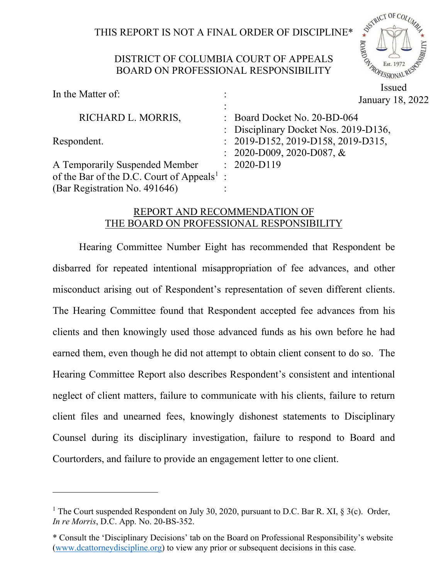# THIS REPORT IS NOT A FINAL ORDER OF DISCIPLINE\*

ASTRICT OF COLUMN

POFESSION

**BOARD OF** 

### DISTRICT OF COLUMBIA COURT OF APPEALS BOARD ON PROFESSIONAL RESPONSIBILITY

| In the Matter of:                                      | $\ddot{\cdot}$<br>$\ddot{\cdot}$ | Issued<br>January 18, 2022            |
|--------------------------------------------------------|----------------------------------|---------------------------------------|
| RICHARD L. MORRIS,                                     |                                  | : Board Docket No. 20-BD-064          |
|                                                        |                                  | : Disciplinary Docket Nos. 2019-D136, |
| Respondent.                                            |                                  | : 2019-D152, 2019-D158, 2019-D315,    |
|                                                        |                                  | $: 2020 - D009, 2020 - D087, \&$      |
| A Temporarily Suspended Member                         |                                  | $: 2020-D119$                         |
| of the Bar of the D.C. Court of Appeals <sup>1</sup> : |                                  |                                       |
| (Bar Registration No. 491646)                          |                                  |                                       |

## REPORT AND RECOMMENDATION OF THE BOARD ON PROFESSIONAL RESPONSIBILITY

Hearing Committee Number Eight has recommended that Respondent be disbarred for repeated intentional misappropriation of fee advances, and other misconduct arising out of Respondent's representation of seven different clients. The Hearing Committee found that Respondent accepted fee advances from his clients and then knowingly used those advanced funds as his own before he had earned them, even though he did not attempt to obtain client consent to do so. The Hearing Committee Report also describes Respondent's consistent and intentional neglect of client matters, failure to communicate with his clients, failure to return client files and unearned fees, knowingly dishonest statements to Disciplinary Counsel during its disciplinary investigation, failure to respond to Board and Courtorders, and failure to provide an engagement letter to one client.

<span id="page-0-0"></span><sup>&</sup>lt;sup>1</sup> The Court suspended Respondent on July 30, 2020, pursuant to D.C. Bar R. XI, § 3(c). Order, *In re Morris*, D.C. App. No. 20-BS-352.

<sup>\*</sup> Consult the 'Disciplinary Decisions' tab on the Board on Professional Responsibility's website [\(www.dcattorneydiscipline.org\)](http://www.dcattorneydiscipline.org/) to view any prior or subsequent decisions in this case.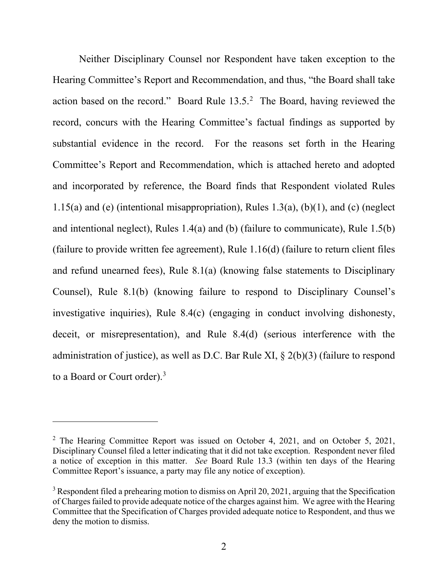Neither Disciplinary Counsel nor Respondent have taken exception to the Hearing Committee's Report and Recommendation, and thus, "the Board shall take action based on the record." Board Rule 13.5.[2](#page-1-0) The Board, having reviewed the record, concurs with the Hearing Committee's factual findings as supported by substantial evidence in the record. For the reasons set forth in the Hearing Committee's Report and Recommendation, which is attached hereto and adopted and incorporated by reference, the Board finds that Respondent violated Rules 1.15(a) and (e) (intentional misappropriation), Rules 1.3(a),  $(b)(1)$ , and (c) (neglect and intentional neglect), Rules 1.4(a) and (b) (failure to communicate), Rule 1.5(b) (failure to provide written fee agreement), Rule 1.16(d) (failure to return client files and refund unearned fees), Rule 8.1(a) (knowing false statements to Disciplinary Counsel), Rule 8.1(b) (knowing failure to respond to Disciplinary Counsel's investigative inquiries), Rule 8.4(c) (engaging in conduct involving dishonesty, deceit, or misrepresentation), and Rule 8.4(d) (serious interference with the administration of justice), as well as D.C. Bar Rule XI, § 2(b)(3) (failure to respond to a Board or Court order). [3](#page-1-1)

<span id="page-1-0"></span><sup>&</sup>lt;sup>2</sup> The Hearing Committee Report was issued on October 4, 2021, and on October 5, 2021, Disciplinary Counsel filed a letter indicating that it did not take exception. Respondent never filed a notice of exception in this matter. *See* Board Rule 13.3 (within ten days of the Hearing Committee Report's issuance, a party may file any notice of exception).

<span id="page-1-1"></span> $3$  Respondent filed a prehearing motion to dismiss on April 20, 2021, arguing that the Specification of Charges failed to provide adequate notice of the charges against him. We agree with the Hearing Committee that the Specification of Charges provided adequate notice to Respondent, and thus we deny the motion to dismiss.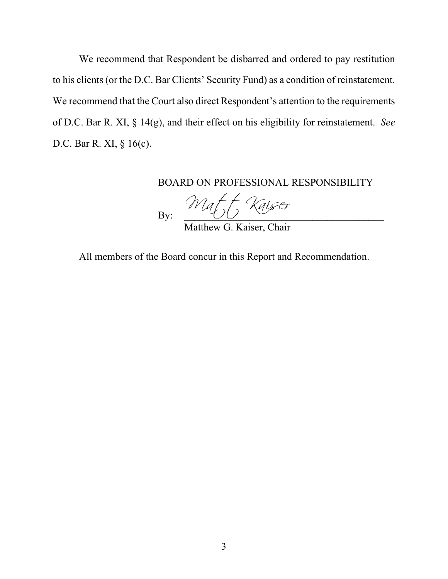We recommend that Respondent be disbarred and ordered to pay restitution to his clients (or the D.C. Bar Clients' Security Fund) as a condition of reinstatement. We recommend that the Court also direct Respondent's attention to the requirements of D.C. Bar R. XI, § 14(g), and their effect on his eligibility for reinstatement. *See* D.C. Bar R. XI, § 16(c).

BOARD ON PROFESSIONAL RESPONSIBILITY

By: Matt Kaiser

Matthew G. Kaiser, Chair

All members of the Board concur in this Report and Recommendation.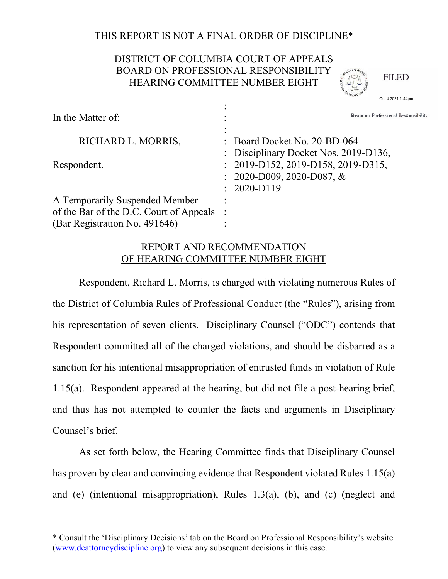## THIS REPORT IS NOT A FINAL ORDER OF DISCIPLINE\*

## DISTRICT OF COLUMBIA COURT OF APPEALS BOARD ON PROFESSIONAL RESPONSIBILITY HEARING COMMITTEE NUMBER EIGHT

**FILED** 

 : In the Matter of:  $\cdot$  : : RICHARD L. MORRIS, : Board Docket No. 20-BD-064 : Disciplinary Docket Nos. 2019-D136, Respondent. : 2019-D152, 2019-D158, 2019-D315, : 2020-D009, 2020-D087, & : 2020-D119 A Temporarily Suspended Member : of the Bar of the D.C. Court of Appeals : (Bar Registration No. 491646) Board on Professional Responsibility<br>Board on Professional Responsibility

## REPORT AND RECOMMENDATION OF HEARING COMMITTEE NUMBER EIGHT

Respondent, Richard L. Morris, is charged with violating numerous Rules of the District of Columbia Rules of Professional Conduct (the "Rules"), arising from his representation of seven clients. Disciplinary Counsel ("ODC") contends that Respondent committed all of the charged violations, and should be disbarred as a sanction for his intentional misappropriation of entrusted funds in violation of Rule 1.15(a). Respondent appeared at the hearing, but did not file a post-hearing brief, and thus has not attempted to counter the facts and arguments in Disciplinary Counsel's brief.

As set forth below, the Hearing Committee finds that Disciplinary Counsel has proven by clear and convincing evidence that Respondent violated Rules 1.15(a) and (e) (intentional misappropriation), Rules 1.3(a), (b), and (c) (neglect and

——————————

<sup>\*</sup> Consult the 'Disciplinary Decisions' tab on the Board on Professional Responsibility's website (www.dcattorneydiscipline.org) to view any subsequent decisions in this case.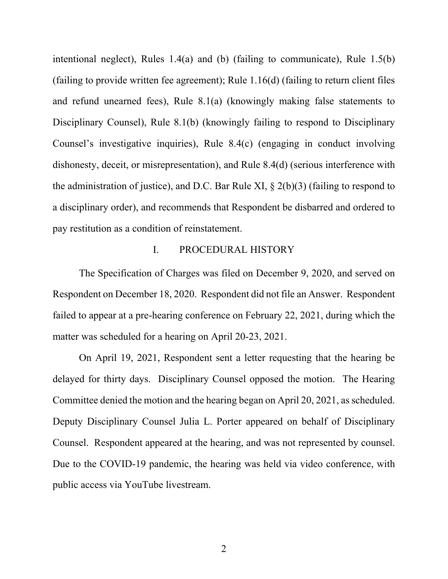intentional neglect), Rules 1.4(a) and (b) (failing to communicate), Rule 1.5(b) (failing to provide written fee agreement); Rule 1.16(d) (failing to return client files and refund unearned fees), Rule 8.1(a) (knowingly making false statements to Disciplinary Counsel), Rule 8.1(b) (knowingly failing to respond to Disciplinary Counsel's investigative inquiries), Rule 8.4(c) (engaging in conduct involving dishonesty, deceit, or misrepresentation), and Rule 8.4(d) (serious interference with the administration of justice), and D.C. Bar Rule XI,  $\S$  2(b)(3) (failing to respond to a disciplinary order), and recommends that Respondent be disbarred and ordered to pay restitution as a condition of reinstatement.

### I. PROCEDURAL HISTORY

The Specification of Charges was filed on December 9, 2020, and served on Respondent on December 18, 2020. Respondent did not file an Answer. Respondent failed to appear at a pre-hearing conference on February 22, 2021, during which the matter was scheduled for a hearing on April 20-23, 2021.

On April 19, 2021, Respondent sent a letter requesting that the hearing be delayed for thirty days. Disciplinary Counsel opposed the motion. The Hearing Committee denied the motion and the hearing began on April 20, 2021, as scheduled. Deputy Disciplinary Counsel Julia L. Porter appeared on behalf of Disciplinary Counsel. Respondent appeared at the hearing, and was not represented by counsel. Due to the COVID-19 pandemic, the hearing was held via video conference, with public access via YouTube livestream.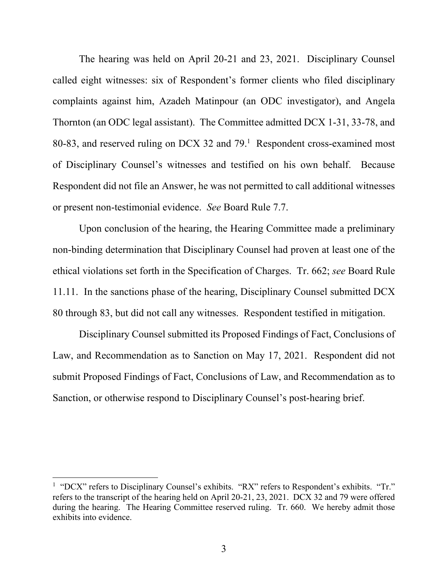The hearing was held on April 20-21 and 23, 2021. Disciplinary Counsel called eight witnesses: six of Respondent's former clients who filed disciplinary complaints against him, Azadeh Matinpour (an ODC investigator), and Angela Thornton (an ODC legal assistant). The Committee admitted DCX 1-31, 33-78, and 80-83, and reserved ruling on DCX 32 and 79.<sup>1</sup> Respondent cross-examined most of Disciplinary Counsel's witnesses and testified on his own behalf. Because Respondent did not file an Answer, he was not permitted to call additional witnesses or present non-testimonial evidence. *See* Board Rule 7.7.

Upon conclusion of the hearing, the Hearing Committee made a preliminary non-binding determination that Disciplinary Counsel had proven at least one of the ethical violations set forth in the Specification of Charges. Tr. 662; *see* Board Rule 11.11. In the sanctions phase of the hearing, Disciplinary Counsel submitted DCX 80 through 83, but did not call any witnesses. Respondent testified in mitigation.

Disciplinary Counsel submitted its Proposed Findings of Fact, Conclusions of Law, and Recommendation as to Sanction on May 17, 2021. Respondent did not submit Proposed Findings of Fact, Conclusions of Law, and Recommendation as to Sanction, or otherwise respond to Disciplinary Counsel's post-hearing brief.

<sup>&</sup>lt;sup>1</sup> "DCX" refers to Disciplinary Counsel's exhibits. "RX" refers to Respondent's exhibits. "Tr." refers to the transcript of the hearing held on April 20-21, 23, 2021. DCX 32 and 79 were offered during the hearing. The Hearing Committee reserved ruling. Tr. 660. We hereby admit those exhibits into evidence.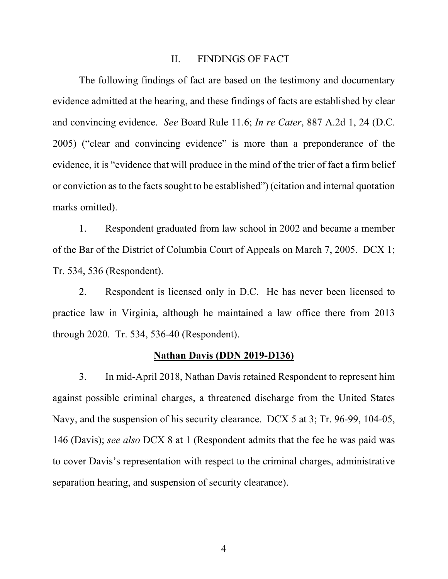#### II. FINDINGS OF FACT

The following findings of fact are based on the testimony and documentary evidence admitted at the hearing, and these findings of facts are established by clear and convincing evidence. *See* Board Rule 11.6; *In re Cater*, 887 A.2d 1, 24 (D.C. 2005) ("clear and convincing evidence" is more than a preponderance of the evidence, it is "evidence that will produce in the mind of the trier of fact a firm belief or conviction as to the facts sought to be established") (citation and internal quotation marks omitted).

1. Respondent graduated from law school in 2002 and became a member of the Bar of the District of Columbia Court of Appeals on March 7, 2005. DCX 1; Tr. 534, 536 (Respondent).

2. Respondent is licensed only in D.C. He has never been licensed to practice law in Virginia, although he maintained a law office there from 2013 through 2020. Tr. 534, 536-40 (Respondent).

### **Nathan Davis (DDN 2019-D136)**

3. In mid-April 2018, Nathan Davis retained Respondent to represent him against possible criminal charges, a threatened discharge from the United States Navy, and the suspension of his security clearance. DCX 5 at 3; Tr. 96-99, 104-05, 146 (Davis); *see also* DCX 8 at 1 (Respondent admits that the fee he was paid was to cover Davis's representation with respect to the criminal charges, administrative separation hearing, and suspension of security clearance).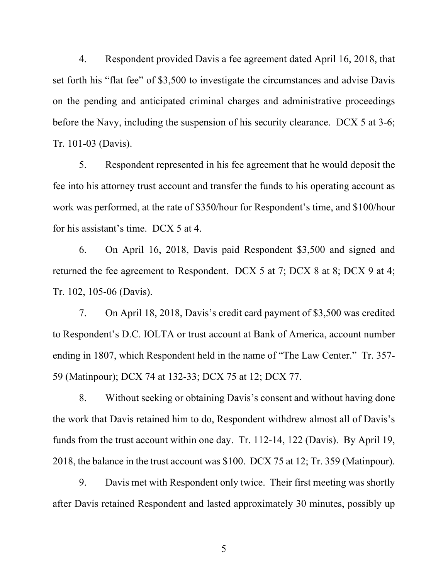4. Respondent provided Davis a fee agreement dated April 16, 2018, that set forth his "flat fee" of \$3,500 to investigate the circumstances and advise Davis on the pending and anticipated criminal charges and administrative proceedings before the Navy, including the suspension of his security clearance. DCX 5 at 3-6; Tr. 101-03 (Davis).

5. Respondent represented in his fee agreement that he would deposit the fee into his attorney trust account and transfer the funds to his operating account as work was performed, at the rate of \$350/hour for Respondent's time, and \$100/hour for his assistant's time. DCX 5 at 4.

6. On April 16, 2018, Davis paid Respondent \$3,500 and signed and returned the fee agreement to Respondent. DCX 5 at 7; DCX 8 at 8; DCX 9 at 4; Tr. 102, 105-06 (Davis).

7. On April 18, 2018, Davis's credit card payment of \$3,500 was credited to Respondent's D.C. IOLTA or trust account at Bank of America, account number ending in 1807, which Respondent held in the name of "The Law Center." Tr. 357- 59 (Matinpour); DCX 74 at 132-33; DCX 75 at 12; DCX 77.

8. Without seeking or obtaining Davis's consent and without having done the work that Davis retained him to do, Respondent withdrew almost all of Davis's funds from the trust account within one day. Tr. 112-14, 122 (Davis). By April 19, 2018, the balance in the trust account was \$100. DCX 75 at 12; Tr. 359 (Matinpour).

9. Davis met with Respondent only twice. Their first meeting was shortly after Davis retained Respondent and lasted approximately 30 minutes, possibly up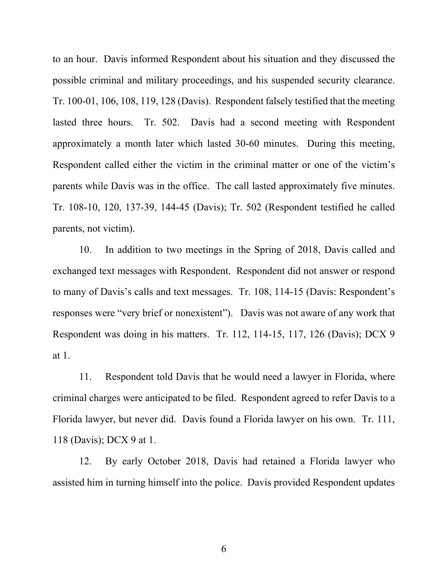to an hour. Davis informed Respondent about his situation and they discussed the possible criminal and military proceedings, and his suspended security clearance. Tr. 100-01, 106, 108, 119, 128 (Davis). Respondent falsely testified that the meeting lasted three hours. Tr. 502. Davis had a second meeting with Respondent approximately a month later which lasted 30-60 minutes. During this meeting, Respondent called either the victim in the criminal matter or one of the victim's parents while Davis was in the office. The call lasted approximately five minutes. Tr. 108-10, 120, 137-39, 144-45 (Davis); Tr. 502 (Respondent testified he called parents, not victim).

10. In addition to two meetings in the Spring of 2018, Davis called and exchanged text messages with Respondent. Respondent did not answer or respond to many of Davis's calls and text messages. Tr. 108, 114-15 (Davis: Respondent's responses were "very brief or nonexistent"). Davis was not aware of any work that Respondent was doing in his matters. Tr. 112, 114-15, 117, 126 (Davis); DCX 9 at 1.

11. Respondent told Davis that he would need a lawyer in Florida, where criminal charges were anticipated to be filed. Respondent agreed to refer Davis to a Florida lawyer, but never did. Davis found a Florida lawyer on his own. Tr. 111, 118 (Davis); DCX 9 at 1.

12. By early October 2018, Davis had retained a Florida lawyer who assisted him in turning himself into the police. Davis provided Respondent updates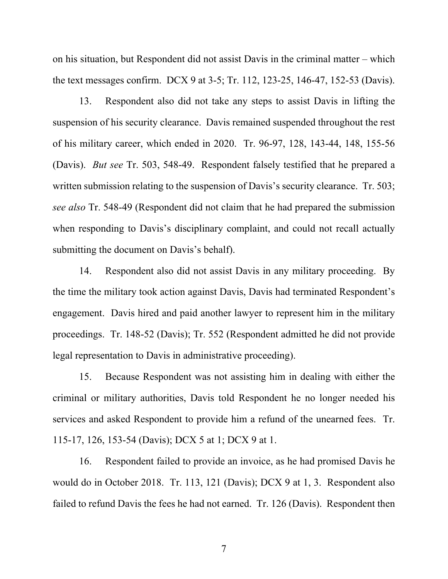on his situation, but Respondent did not assist Davis in the criminal matter – which the text messages confirm. DCX 9 at 3-5; Tr. 112, 123-25, 146-47, 152-53 (Davis).

13. Respondent also did not take any steps to assist Davis in lifting the suspension of his security clearance. Davis remained suspended throughout the rest of his military career, which ended in 2020. Tr. 96-97, 128, 143-44, 148, 155-56 (Davis). *But see* Tr. 503, 548-49. Respondent falsely testified that he prepared a written submission relating to the suspension of Davis's security clearance. Tr. 503; *see also* Tr. 548-49 (Respondent did not claim that he had prepared the submission when responding to Davis's disciplinary complaint, and could not recall actually submitting the document on Davis's behalf).

14. Respondent also did not assist Davis in any military proceeding. By the time the military took action against Davis, Davis had terminated Respondent's engagement. Davis hired and paid another lawyer to represent him in the military proceedings. Tr. 148-52 (Davis); Tr. 552 (Respondent admitted he did not provide legal representation to Davis in administrative proceeding).

15. Because Respondent was not assisting him in dealing with either the criminal or military authorities, Davis told Respondent he no longer needed his services and asked Respondent to provide him a refund of the unearned fees. Tr. 115-17, 126, 153-54 (Davis); DCX 5 at 1; DCX 9 at 1.

16. Respondent failed to provide an invoice, as he had promised Davis he would do in October 2018. Tr. 113, 121 (Davis); DCX 9 at 1, 3. Respondent also failed to refund Davis the fees he had not earned. Tr. 126 (Davis). Respondent then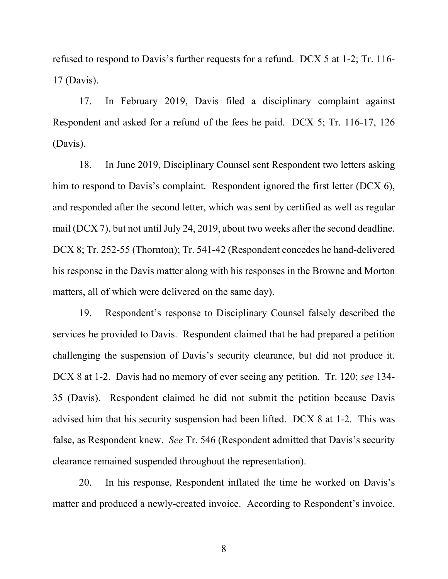refused to respond to Davis's further requests for a refund. DCX 5 at 1-2; Tr. 116- 17 (Davis).

17. In February 2019, Davis filed a disciplinary complaint against Respondent and asked for a refund of the fees he paid. DCX 5; Tr. 116-17, 126 (Davis).

18. In June 2019, Disciplinary Counsel sent Respondent two letters asking him to respond to Davis's complaint. Respondent ignored the first letter (DCX 6), and responded after the second letter, which was sent by certified as well as regular mail (DCX 7), but not until July 24, 2019, about two weeks after the second deadline. DCX 8; Tr. 252-55 (Thornton); Tr. 541-42 (Respondent concedes he hand-delivered his response in the Davis matter along with his responses in the Browne and Morton matters, all of which were delivered on the same day).

19. Respondent's response to Disciplinary Counsel falsely described the services he provided to Davis. Respondent claimed that he had prepared a petition challenging the suspension of Davis's security clearance, but did not produce it. DCX 8 at 1-2. Davis had no memory of ever seeing any petition. Tr. 120; *see* 134- 35 (Davis). Respondent claimed he did not submit the petition because Davis advised him that his security suspension had been lifted. DCX 8 at 1-2. This was false, as Respondent knew. *See* Tr. 546 (Respondent admitted that Davis's security clearance remained suspended throughout the representation).

20. In his response, Respondent inflated the time he worked on Davis's matter and produced a newly-created invoice. According to Respondent's invoice,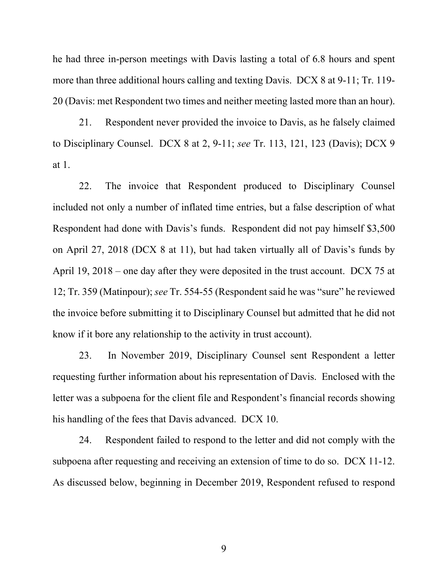he had three in-person meetings with Davis lasting a total of 6.8 hours and spent more than three additional hours calling and texting Davis. DCX 8 at 9-11; Tr. 119- 20 (Davis: met Respondent two times and neither meeting lasted more than an hour).

21. Respondent never provided the invoice to Davis, as he falsely claimed to Disciplinary Counsel. DCX 8 at 2, 9-11; *see* Tr. 113, 121, 123 (Davis); DCX 9 at 1.

22. The invoice that Respondent produced to Disciplinary Counsel included not only a number of inflated time entries, but a false description of what Respondent had done with Davis's funds. Respondent did not pay himself \$3,500 on April 27, 2018 (DCX 8 at 11), but had taken virtually all of Davis's funds by April 19, 2018 – one day after they were deposited in the trust account. DCX 75 at 12; Tr. 359 (Matinpour); *see* Tr. 554-55 (Respondent said he was "sure" he reviewed the invoice before submitting it to Disciplinary Counsel but admitted that he did not know if it bore any relationship to the activity in trust account).

23. In November 2019, Disciplinary Counsel sent Respondent a letter requesting further information about his representation of Davis. Enclosed with the letter was a subpoena for the client file and Respondent's financial records showing his handling of the fees that Davis advanced. DCX 10.

24. Respondent failed to respond to the letter and did not comply with the subpoena after requesting and receiving an extension of time to do so. DCX 11-12. As discussed below, beginning in December 2019, Respondent refused to respond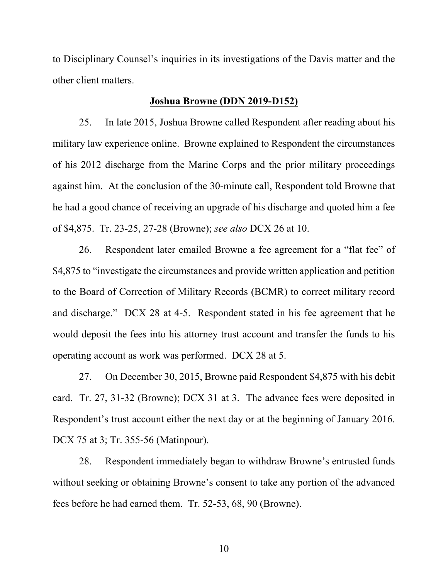to Disciplinary Counsel's inquiries in its investigations of the Davis matter and the other client matters.

#### **Joshua Browne (DDN 2019-D152)**

25. In late 2015, Joshua Browne called Respondent after reading about his military law experience online. Browne explained to Respondent the circumstances of his 2012 discharge from the Marine Corps and the prior military proceedings against him. At the conclusion of the 30-minute call, Respondent told Browne that he had a good chance of receiving an upgrade of his discharge and quoted him a fee of \$4,875. Tr. 23-25, 27-28 (Browne); *see also* DCX 26 at 10.

26. Respondent later emailed Browne a fee agreement for a "flat fee" of \$4,875 to "investigate the circumstances and provide written application and petition to the Board of Correction of Military Records (BCMR) to correct military record and discharge." DCX 28 at 4-5. Respondent stated in his fee agreement that he would deposit the fees into his attorney trust account and transfer the funds to his operating account as work was performed. DCX 28 at 5.

27. On December 30, 2015, Browne paid Respondent \$4,875 with his debit card. Tr. 27, 31-32 (Browne); DCX 31 at 3. The advance fees were deposited in Respondent's trust account either the next day or at the beginning of January 2016. DCX 75 at 3; Tr. 355-56 (Matinpour).

28. Respondent immediately began to withdraw Browne's entrusted funds without seeking or obtaining Browne's consent to take any portion of the advanced fees before he had earned them. Tr. 52-53, 68, 90 (Browne).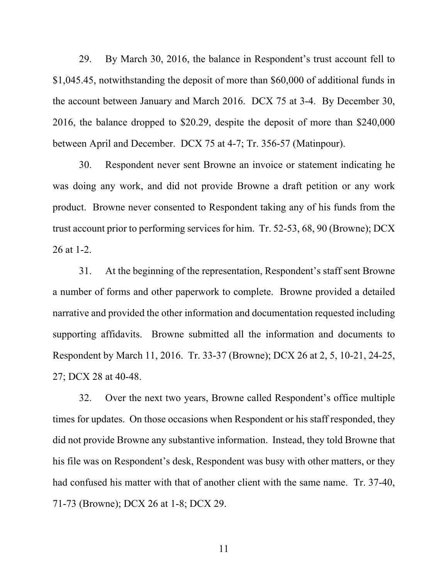29. By March 30, 2016, the balance in Respondent's trust account fell to \$1,045.45, notwithstanding the deposit of more than \$60,000 of additional funds in the account between January and March 2016. DCX 75 at 3-4. By December 30, 2016, the balance dropped to \$20.29, despite the deposit of more than \$240,000 between April and December. DCX 75 at 4-7; Tr. 356-57 (Matinpour).

30. Respondent never sent Browne an invoice or statement indicating he was doing any work, and did not provide Browne a draft petition or any work product. Browne never consented to Respondent taking any of his funds from the trust account prior to performing services for him. Tr. 52-53, 68, 90 (Browne); DCX 26 at 1-2.

31. At the beginning of the representation, Respondent's staff sent Browne a number of forms and other paperwork to complete. Browne provided a detailed narrative and provided the other information and documentation requested including supporting affidavits. Browne submitted all the information and documents to Respondent by March 11, 2016. Tr. 33-37 (Browne); DCX 26 at 2, 5, 10-21, 24-25, 27; DCX 28 at 40-48.

32. Over the next two years, Browne called Respondent's office multiple times for updates. On those occasions when Respondent or his staff responded, they did not provide Browne any substantive information. Instead, they told Browne that his file was on Respondent's desk, Respondent was busy with other matters, or they had confused his matter with that of another client with the same name. Tr. 37-40, 71-73 (Browne); DCX 26 at 1-8; DCX 29.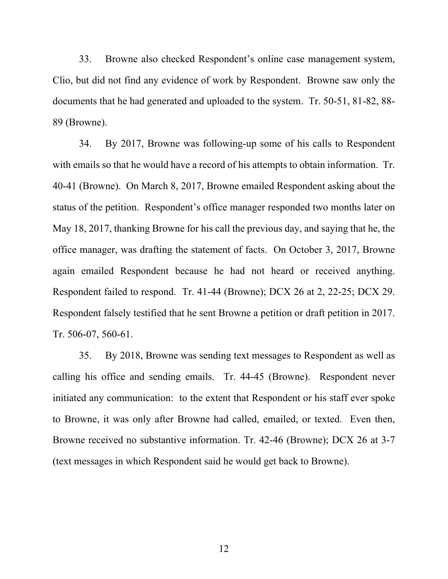33. Browne also checked Respondent's online case management system, Clio, but did not find any evidence of work by Respondent. Browne saw only the documents that he had generated and uploaded to the system. Tr. 50-51, 81-82, 88- 89 (Browne).

34. By 2017, Browne was following-up some of his calls to Respondent with emails so that he would have a record of his attempts to obtain information. Tr. 40-41 (Browne). On March 8, 2017, Browne emailed Respondent asking about the status of the petition. Respondent's office manager responded two months later on May 18, 2017, thanking Browne for his call the previous day, and saying that he, the office manager, was drafting the statement of facts. On October 3, 2017, Browne again emailed Respondent because he had not heard or received anything. Respondent failed to respond. Tr. 41-44 (Browne); DCX 26 at 2, 22-25; DCX 29. Respondent falsely testified that he sent Browne a petition or draft petition in 2017. Tr. 506-07, 560-61.

35. By 2018, Browne was sending text messages to Respondent as well as calling his office and sending emails. Tr. 44-45 (Browne). Respondent never initiated any communication: to the extent that Respondent or his staff ever spoke to Browne, it was only after Browne had called, emailed, or texted. Even then, Browne received no substantive information. Tr. 42-46 (Browne); DCX 26 at 3-7 (text messages in which Respondent said he would get back to Browne).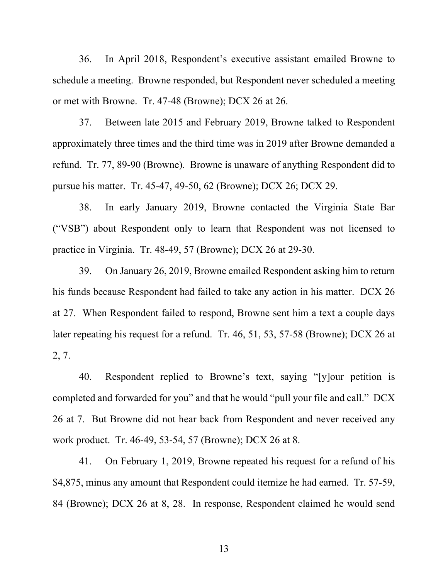36. In April 2018, Respondent's executive assistant emailed Browne to schedule a meeting. Browne responded, but Respondent never scheduled a meeting or met with Browne. Tr. 47-48 (Browne); DCX 26 at 26.

37. Between late 2015 and February 2019, Browne talked to Respondent approximately three times and the third time was in 2019 after Browne demanded a refund. Tr. 77, 89-90 (Browne). Browne is unaware of anything Respondent did to pursue his matter. Tr. 45-47, 49-50, 62 (Browne); DCX 26; DCX 29.

38. In early January 2019, Browne contacted the Virginia State Bar ("VSB") about Respondent only to learn that Respondent was not licensed to practice in Virginia. Tr. 48-49, 57 (Browne); DCX 26 at 29-30.

39. On January 26, 2019, Browne emailed Respondent asking him to return his funds because Respondent had failed to take any action in his matter. DCX 26 at 27. When Respondent failed to respond, Browne sent him a text a couple days later repeating his request for a refund. Tr. 46, 51, 53, 57-58 (Browne); DCX 26 at 2, 7.

40. Respondent replied to Browne's text, saying "[y]our petition is completed and forwarded for you" and that he would "pull your file and call." DCX 26 at 7. But Browne did not hear back from Respondent and never received any work product. Tr. 46-49, 53-54, 57 (Browne); DCX 26 at 8.

41. On February 1, 2019, Browne repeated his request for a refund of his \$4,875, minus any amount that Respondent could itemize he had earned. Tr. 57-59, 84 (Browne); DCX 26 at 8, 28. In response, Respondent claimed he would send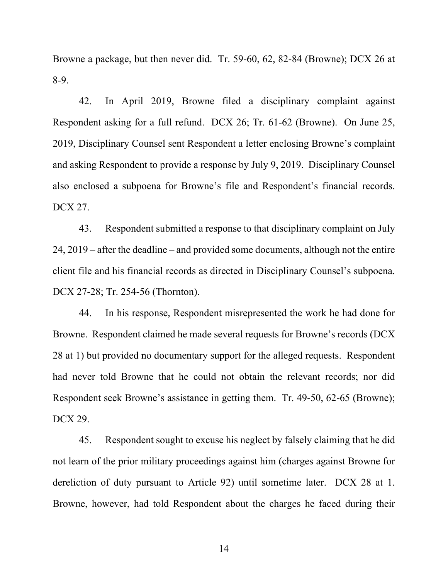Browne a package, but then never did. Tr. 59-60, 62, 82-84 (Browne); DCX 26 at 8-9.

42. In April 2019, Browne filed a disciplinary complaint against Respondent asking for a full refund. DCX 26; Tr. 61-62 (Browne). On June 25, 2019, Disciplinary Counsel sent Respondent a letter enclosing Browne's complaint and asking Respondent to provide a response by July 9, 2019. Disciplinary Counsel also enclosed a subpoena for Browne's file and Respondent's financial records. DCX 27.

43. Respondent submitted a response to that disciplinary complaint on July 24, 2019 – after the deadline – and provided some documents, although not the entire client file and his financial records as directed in Disciplinary Counsel's subpoena. DCX 27-28; Tr. 254-56 (Thornton).

44. In his response, Respondent misrepresented the work he had done for Browne. Respondent claimed he made several requests for Browne's records (DCX 28 at 1) but provided no documentary support for the alleged requests. Respondent had never told Browne that he could not obtain the relevant records; nor did Respondent seek Browne's assistance in getting them. Tr. 49-50, 62-65 (Browne); DCX 29.

45. Respondent sought to excuse his neglect by falsely claiming that he did not learn of the prior military proceedings against him (charges against Browne for dereliction of duty pursuant to Article 92) until sometime later. DCX 28 at 1. Browne, however, had told Respondent about the charges he faced during their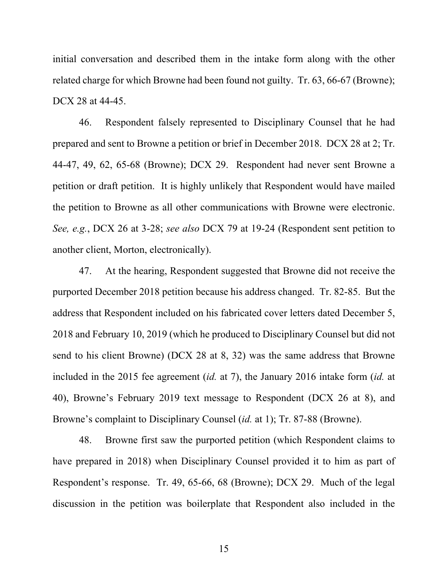initial conversation and described them in the intake form along with the other related charge for which Browne had been found not guilty. Tr. 63, 66-67 (Browne); DCX 28 at 44-45.

46. Respondent falsely represented to Disciplinary Counsel that he had prepared and sent to Browne a petition or brief in December 2018. DCX 28 at 2; Tr. 44-47, 49, 62, 65-68 (Browne); DCX 29. Respondent had never sent Browne a petition or draft petition. It is highly unlikely that Respondent would have mailed the petition to Browne as all other communications with Browne were electronic. *See, e.g.*, DCX 26 at 3-28; *see also* DCX 79 at 19-24 (Respondent sent petition to another client, Morton, electronically).

47. At the hearing, Respondent suggested that Browne did not receive the purported December 2018 petition because his address changed. Tr. 82-85. But the address that Respondent included on his fabricated cover letters dated December 5, 2018 and February 10, 2019 (which he produced to Disciplinary Counsel but did not send to his client Browne) (DCX 28 at 8, 32) was the same address that Browne included in the 2015 fee agreement (*id.* at 7), the January 2016 intake form (*id.* at 40), Browne's February 2019 text message to Respondent (DCX 26 at 8), and Browne's complaint to Disciplinary Counsel (*id.* at 1); Tr. 87-88 (Browne).

48. Browne first saw the purported petition (which Respondent claims to have prepared in 2018) when Disciplinary Counsel provided it to him as part of Respondent's response. Tr. 49, 65-66, 68 (Browne); DCX 29. Much of the legal discussion in the petition was boilerplate that Respondent also included in the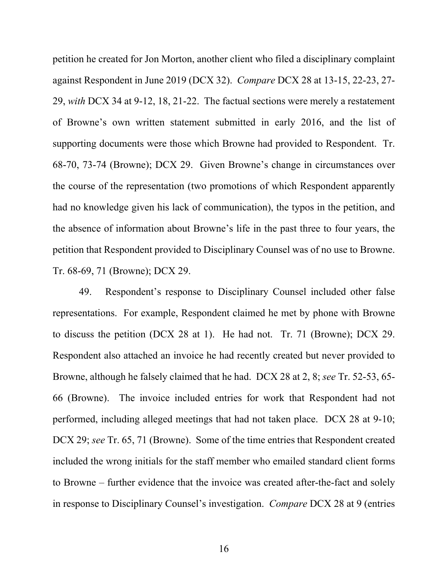petition he created for Jon Morton, another client who filed a disciplinary complaint against Respondent in June 2019 (DCX 32). *Compare* DCX 28 at 13-15, 22-23, 27- 29, *with* DCX 34 at 9-12, 18, 21-22. The factual sections were merely a restatement of Browne's own written statement submitted in early 2016, and the list of supporting documents were those which Browne had provided to Respondent. Tr. 68-70, 73-74 (Browne); DCX 29. Given Browne's change in circumstances over the course of the representation (two promotions of which Respondent apparently had no knowledge given his lack of communication), the typos in the petition, and the absence of information about Browne's life in the past three to four years, the petition that Respondent provided to Disciplinary Counsel was of no use to Browne. Tr. 68-69, 71 (Browne); DCX 29.

49. Respondent's response to Disciplinary Counsel included other false representations. For example, Respondent claimed he met by phone with Browne to discuss the petition (DCX 28 at 1). He had not. Tr. 71 (Browne); DCX 29. Respondent also attached an invoice he had recently created but never provided to Browne, although he falsely claimed that he had. DCX 28 at 2, 8; *see* Tr. 52-53, 65- 66 (Browne). The invoice included entries for work that Respondent had not performed, including alleged meetings that had not taken place. DCX 28 at 9-10; DCX 29; *see* Tr. 65, 71 (Browne). Some of the time entries that Respondent created included the wrong initials for the staff member who emailed standard client forms to Browne – further evidence that the invoice was created after-the-fact and solely in response to Disciplinary Counsel's investigation. *Compare* DCX 28 at 9 (entries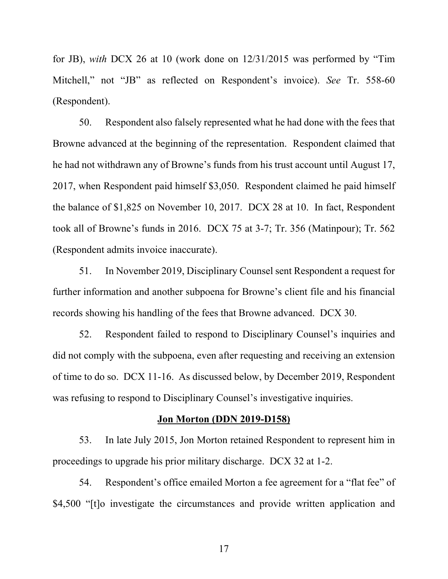for JB), *with* DCX 26 at 10 (work done on 12/31/2015 was performed by "Tim Mitchell," not "JB" as reflected on Respondent's invoice). *See* Tr. 558-60 (Respondent).

50. Respondent also falsely represented what he had done with the fees that Browne advanced at the beginning of the representation. Respondent claimed that he had not withdrawn any of Browne's funds from his trust account until August 17, 2017, when Respondent paid himself \$3,050. Respondent claimed he paid himself the balance of \$1,825 on November 10, 2017. DCX 28 at 10. In fact, Respondent took all of Browne's funds in 2016. DCX 75 at 3-7; Tr. 356 (Matinpour); Tr. 562 (Respondent admits invoice inaccurate).

51. In November 2019, Disciplinary Counsel sent Respondent a request for further information and another subpoena for Browne's client file and his financial records showing his handling of the fees that Browne advanced. DCX 30.

52. Respondent failed to respond to Disciplinary Counsel's inquiries and did not comply with the subpoena, even after requesting and receiving an extension of time to do so. DCX 11-16. As discussed below, by December 2019, Respondent was refusing to respond to Disciplinary Counsel's investigative inquiries.

#### **Jon Morton (DDN 2019-D158)**

53. In late July 2015, Jon Morton retained Respondent to represent him in proceedings to upgrade his prior military discharge. DCX 32 at 1-2.

54. Respondent's office emailed Morton a fee agreement for a "flat fee" of \$4,500 "[t]o investigate the circumstances and provide written application and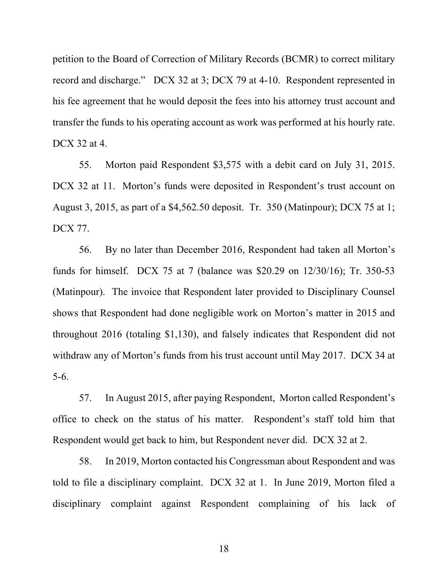petition to the Board of Correction of Military Records (BCMR) to correct military record and discharge." DCX 32 at 3; DCX 79 at 4-10. Respondent represented in his fee agreement that he would deposit the fees into his attorney trust account and transfer the funds to his operating account as work was performed at his hourly rate. DCX 32 at 4.

55. Morton paid Respondent \$3,575 with a debit card on July 31, 2015. DCX 32 at 11. Morton's funds were deposited in Respondent's trust account on August 3, 2015, as part of a \$4,562.50 deposit. Tr. 350 (Matinpour); DCX 75 at 1; DCX 77.

56. By no later than December 2016, Respondent had taken all Morton's funds for himself. DCX 75 at 7 (balance was \$20.29 on 12/30/16); Tr. 350-53 (Matinpour). The invoice that Respondent later provided to Disciplinary Counsel shows that Respondent had done negligible work on Morton's matter in 2015 and throughout 2016 (totaling \$1,130), and falsely indicates that Respondent did not withdraw any of Morton's funds from his trust account until May 2017. DCX 34 at 5-6.

57. In August 2015, after paying Respondent, Morton called Respondent's office to check on the status of his matter. Respondent's staff told him that Respondent would get back to him, but Respondent never did. DCX 32 at 2.

58. In 2019, Morton contacted his Congressman about Respondent and was told to file a disciplinary complaint. DCX 32 at 1. In June 2019, Morton filed a disciplinary complaint against Respondent complaining of his lack of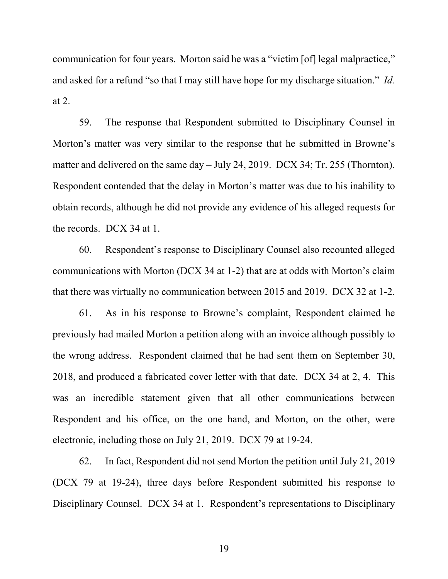communication for four years. Morton said he was a "victim [of] legal malpractice," and asked for a refund "so that I may still have hope for my discharge situation." *Id.*  at 2.

59. The response that Respondent submitted to Disciplinary Counsel in Morton's matter was very similar to the response that he submitted in Browne's matter and delivered on the same day – July 24, 2019. DCX 34; Tr. 255 (Thornton). Respondent contended that the delay in Morton's matter was due to his inability to obtain records, although he did not provide any evidence of his alleged requests for the records. DCX 34 at 1.

60. Respondent's response to Disciplinary Counsel also recounted alleged communications with Morton (DCX 34 at 1-2) that are at odds with Morton's claim that there was virtually no communication between 2015 and 2019. DCX 32 at 1-2.

61. As in his response to Browne's complaint, Respondent claimed he previously had mailed Morton a petition along with an invoice although possibly to the wrong address. Respondent claimed that he had sent them on September 30, 2018, and produced a fabricated cover letter with that date. DCX 34 at 2, 4. This was an incredible statement given that all other communications between Respondent and his office, on the one hand, and Morton, on the other, were electronic, including those on July 21, 2019. DCX 79 at 19-24.

62. In fact, Respondent did not send Morton the petition until July 21, 2019 (DCX 79 at 19-24), three days before Respondent submitted his response to Disciplinary Counsel. DCX 34 at 1. Respondent's representations to Disciplinary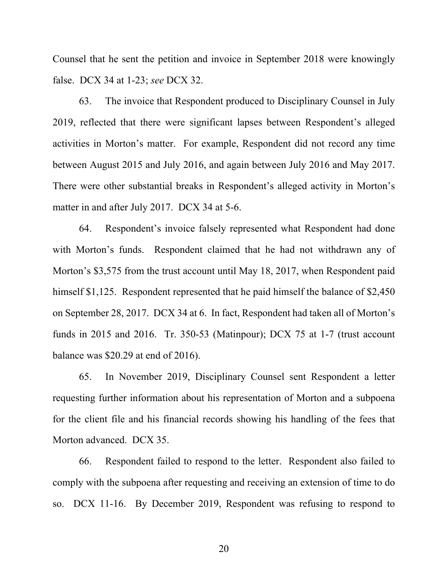Counsel that he sent the petition and invoice in September 2018 were knowingly false. DCX 34 at 1-23; *see* DCX 32.

63. The invoice that Respondent produced to Disciplinary Counsel in July 2019, reflected that there were significant lapses between Respondent's alleged activities in Morton's matter. For example, Respondent did not record any time between August 2015 and July 2016, and again between July 2016 and May 2017. There were other substantial breaks in Respondent's alleged activity in Morton's matter in and after July 2017. DCX 34 at 5-6.

64. Respondent's invoice falsely represented what Respondent had done with Morton's funds. Respondent claimed that he had not withdrawn any of Morton's \$3,575 from the trust account until May 18, 2017, when Respondent paid himself \$1,125. Respondent represented that he paid himself the balance of \$2,450 on September 28, 2017. DCX 34 at 6. In fact, Respondent had taken all of Morton's funds in 2015 and 2016. Tr. 350-53 (Matinpour); DCX 75 at 1-7 (trust account balance was \$20.29 at end of 2016).

65. In November 2019, Disciplinary Counsel sent Respondent a letter requesting further information about his representation of Morton and a subpoena for the client file and his financial records showing his handling of the fees that Morton advanced. DCX 35.

66. Respondent failed to respond to the letter. Respondent also failed to comply with the subpoena after requesting and receiving an extension of time to do so. DCX 11-16. By December 2019, Respondent was refusing to respond to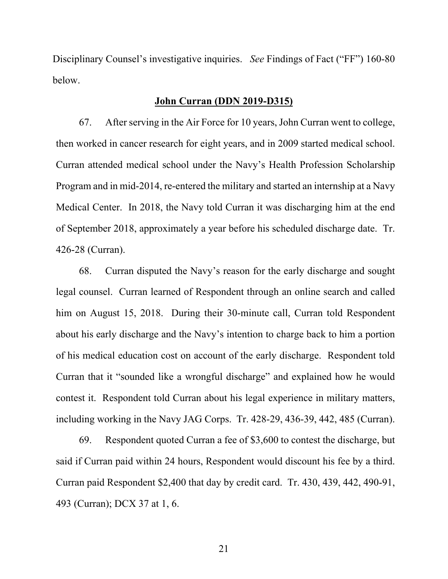Disciplinary Counsel's investigative inquiries. *See* Findings of Fact ("FF") 160-80 below.

### **John Curran (DDN 2019-D315)**

67. After serving in the Air Force for 10 years, John Curran went to college, then worked in cancer research for eight years, and in 2009 started medical school. Curran attended medical school under the Navy's Health Profession Scholarship Program and in mid-2014, re-entered the military and started an internship at a Navy Medical Center. In 2018, the Navy told Curran it was discharging him at the end of September 2018, approximately a year before his scheduled discharge date. Tr. 426-28 (Curran).

68. Curran disputed the Navy's reason for the early discharge and sought legal counsel. Curran learned of Respondent through an online search and called him on August 15, 2018. During their 30-minute call, Curran told Respondent about his early discharge and the Navy's intention to charge back to him a portion of his medical education cost on account of the early discharge. Respondent told Curran that it "sounded like a wrongful discharge" and explained how he would contest it. Respondent told Curran about his legal experience in military matters, including working in the Navy JAG Corps. Tr. 428-29, 436-39, 442, 485 (Curran).

69. Respondent quoted Curran a fee of \$3,600 to contest the discharge, but said if Curran paid within 24 hours, Respondent would discount his fee by a third. Curran paid Respondent \$2,400 that day by credit card. Tr. 430, 439, 442, 490-91, 493 (Curran); DCX 37 at 1, 6.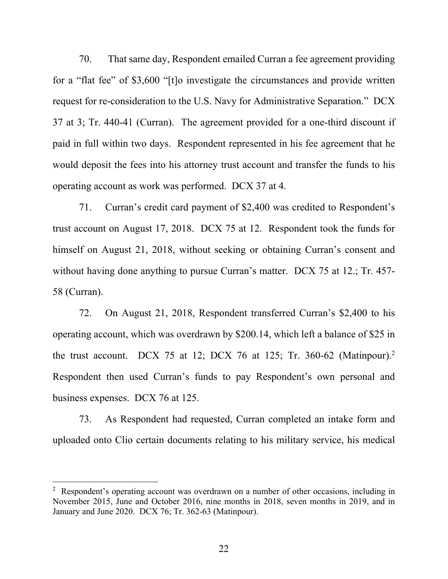70. That same day, Respondent emailed Curran a fee agreement providing for a "flat fee" of \$3,600 "[t]o investigate the circumstances and provide written request for re-consideration to the U.S. Navy for Administrative Separation." DCX 37 at 3; Tr. 440-41 (Curran). The agreement provided for a one-third discount if paid in full within two days. Respondent represented in his fee agreement that he would deposit the fees into his attorney trust account and transfer the funds to his operating account as work was performed. DCX 37 at 4.

71. Curran's credit card payment of \$2,400 was credited to Respondent's trust account on August 17, 2018. DCX 75 at 12. Respondent took the funds for himself on August 21, 2018, without seeking or obtaining Curran's consent and without having done anything to pursue Curran's matter. DCX 75 at 12.; Tr. 457- 58 (Curran).

72. On August 21, 2018, Respondent transferred Curran's \$2,400 to his operating account, which was overdrawn by \$200.14, which left a balance of \$25 in the trust account. DCX 75 at 12; DCX 76 at 125; Tr. 360-62 (Matinpour).<sup>2</sup> Respondent then used Curran's funds to pay Respondent's own personal and business expenses. DCX 76 at 125.

73. As Respondent had requested, Curran completed an intake form and uploaded onto Clio certain documents relating to his military service, his medical

<sup>&</sup>lt;sup>2</sup> Respondent's operating account was overdrawn on a number of other occasions, including in November 2015, June and October 2016, nine months in 2018, seven months in 2019, and in January and June 2020. DCX 76; Tr. 362-63 (Matinpour).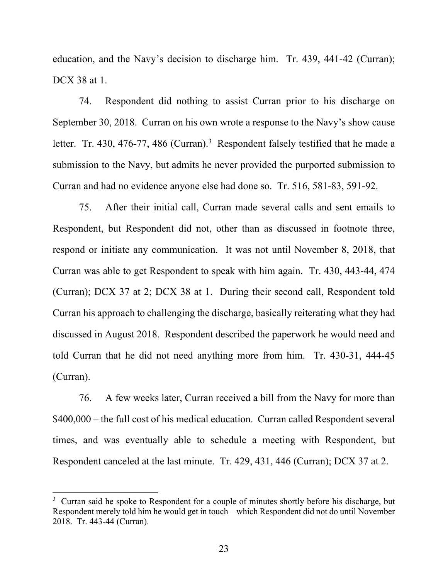education, and the Navy's decision to discharge him. Tr. 439, 441-42 (Curran); DCX 38 at 1.

74. Respondent did nothing to assist Curran prior to his discharge on September 30, 2018. Curran on his own wrote a response to the Navy's show cause letter. Tr. 430, 476-77, 486 (Curran).<sup>3</sup> Respondent falsely testified that he made a submission to the Navy, but admits he never provided the purported submission to Curran and had no evidence anyone else had done so. Tr. 516, 581-83, 591-92.

75. After their initial call, Curran made several calls and sent emails to Respondent, but Respondent did not, other than as discussed in footnote three, respond or initiate any communication. It was not until November 8, 2018, that Curran was able to get Respondent to speak with him again. Tr. 430, 443-44, 474 (Curran); DCX 37 at 2; DCX 38 at 1. During their second call, Respondent told Curran his approach to challenging the discharge, basically reiterating what they had discussed in August 2018. Respondent described the paperwork he would need and told Curran that he did not need anything more from him. Tr. 430-31, 444-45 (Curran).

76. A few weeks later, Curran received a bill from the Navy for more than \$400,000 – the full cost of his medical education. Curran called Respondent several times, and was eventually able to schedule a meeting with Respondent, but Respondent canceled at the last minute. Tr. 429, 431, 446 (Curran); DCX 37 at 2.

 $3$  Curran said he spoke to Respondent for a couple of minutes shortly before his discharge, but Respondent merely told him he would get in touch – which Respondent did not do until November 2018. Tr. 443-44 (Curran).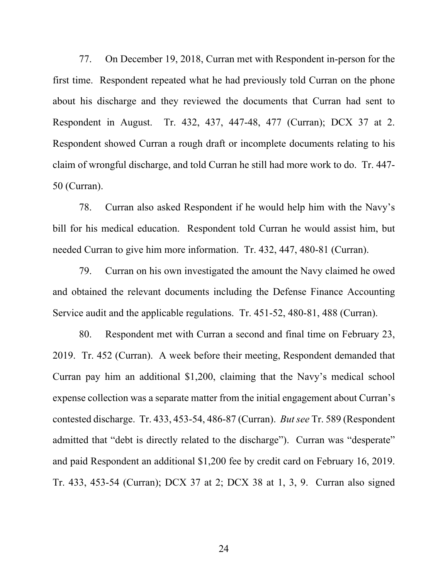77. On December 19, 2018, Curran met with Respondent in-person for the first time. Respondent repeated what he had previously told Curran on the phone about his discharge and they reviewed the documents that Curran had sent to Respondent in August. Tr. 432, 437, 447-48, 477 (Curran); DCX 37 at 2. Respondent showed Curran a rough draft or incomplete documents relating to his claim of wrongful discharge, and told Curran he still had more work to do. Tr. 447- 50 (Curran).

78. Curran also asked Respondent if he would help him with the Navy's bill for his medical education. Respondent told Curran he would assist him, but needed Curran to give him more information. Tr. 432, 447, 480-81 (Curran).

79. Curran on his own investigated the amount the Navy claimed he owed and obtained the relevant documents including the Defense Finance Accounting Service audit and the applicable regulations. Tr. 451-52, 480-81, 488 (Curran).

80. Respondent met with Curran a second and final time on February 23, 2019. Tr. 452 (Curran). A week before their meeting, Respondent demanded that Curran pay him an additional \$1,200, claiming that the Navy's medical school expense collection was a separate matter from the initial engagement about Curran's contested discharge. Tr. 433, 453-54, 486-87 (Curran). *But see* Tr. 589 (Respondent admitted that "debt is directly related to the discharge"). Curran was "desperate" and paid Respondent an additional \$1,200 fee by credit card on February 16, 2019. Tr. 433, 453-54 (Curran); DCX 37 at 2; DCX 38 at 1, 3, 9. Curran also signed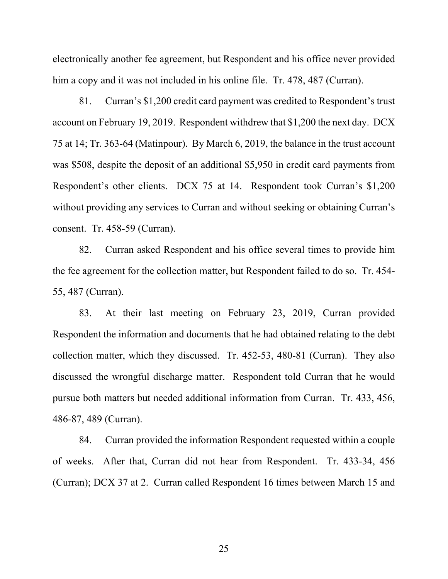electronically another fee agreement, but Respondent and his office never provided him a copy and it was not included in his online file. Tr. 478, 487 (Curran).

81. Curran's \$1,200 credit card payment was credited to Respondent's trust account on February 19, 2019. Respondent withdrew that \$1,200 the next day. DCX 75 at 14; Tr. 363-64 (Matinpour). By March 6, 2019, the balance in the trust account was \$508, despite the deposit of an additional \$5,950 in credit card payments from Respondent's other clients. DCX 75 at 14. Respondent took Curran's \$1,200 without providing any services to Curran and without seeking or obtaining Curran's consent. Tr. 458-59 (Curran).

82. Curran asked Respondent and his office several times to provide him the fee agreement for the collection matter, but Respondent failed to do so. Tr. 454- 55, 487 (Curran).

83. At their last meeting on February 23, 2019, Curran provided Respondent the information and documents that he had obtained relating to the debt collection matter, which they discussed. Tr. 452-53, 480-81 (Curran). They also discussed the wrongful discharge matter. Respondent told Curran that he would pursue both matters but needed additional information from Curran. Tr. 433, 456, 486-87, 489 (Curran).

84. Curran provided the information Respondent requested within a couple of weeks. After that, Curran did not hear from Respondent. Tr. 433-34, 456 (Curran); DCX 37 at 2. Curran called Respondent 16 times between March 15 and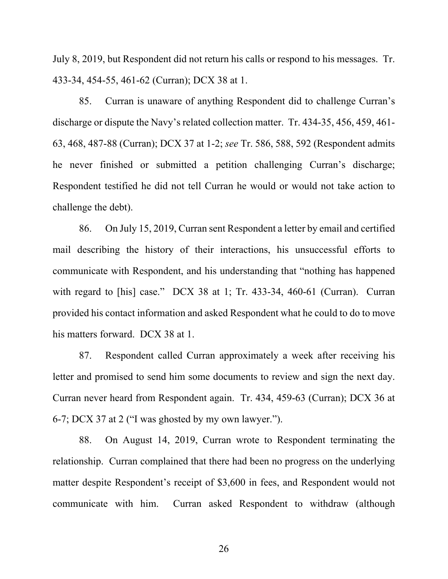July 8, 2019, but Respondent did not return his calls or respond to his messages. Tr. 433-34, 454-55, 461-62 (Curran); DCX 38 at 1.

85. Curran is unaware of anything Respondent did to challenge Curran's discharge or dispute the Navy's related collection matter. Tr. 434-35, 456, 459, 461- 63, 468, 487-88 (Curran); DCX 37 at 1-2; *see* Tr. 586, 588, 592 (Respondent admits he never finished or submitted a petition challenging Curran's discharge; Respondent testified he did not tell Curran he would or would not take action to challenge the debt).

86. On July 15, 2019, Curran sent Respondent a letter by email and certified mail describing the history of their interactions, his unsuccessful efforts to communicate with Respondent, and his understanding that "nothing has happened with regard to [his] case." DCX 38 at 1; Tr. 433-34, 460-61 (Curran). Curran provided his contact information and asked Respondent what he could to do to move his matters forward. DCX 38 at 1.

87. Respondent called Curran approximately a week after receiving his letter and promised to send him some documents to review and sign the next day. Curran never heard from Respondent again. Tr. 434, 459-63 (Curran); DCX 36 at 6-7; DCX 37 at 2 ("I was ghosted by my own lawyer.").

88. On August 14, 2019, Curran wrote to Respondent terminating the relationship. Curran complained that there had been no progress on the underlying matter despite Respondent's receipt of \$3,600 in fees, and Respondent would not communicate with him. Curran asked Respondent to withdraw (although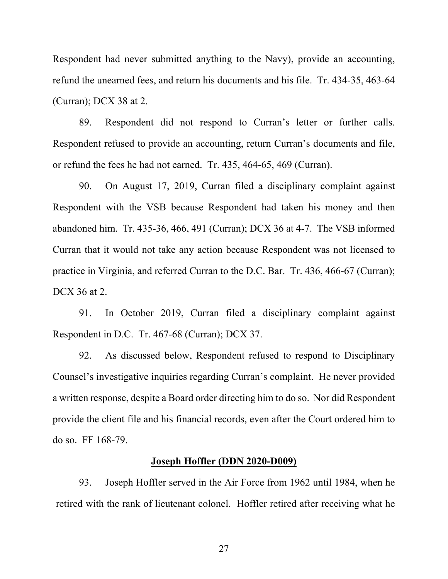Respondent had never submitted anything to the Navy), provide an accounting, refund the unearned fees, and return his documents and his file. Tr. 434-35, 463-64 (Curran); DCX 38 at 2.

89. Respondent did not respond to Curran's letter or further calls. Respondent refused to provide an accounting, return Curran's documents and file, or refund the fees he had not earned. Tr. 435, 464-65, 469 (Curran).

90. On August 17, 2019, Curran filed a disciplinary complaint against Respondent with the VSB because Respondent had taken his money and then abandoned him. Tr. 435-36, 466, 491 (Curran); DCX 36 at 4-7. The VSB informed Curran that it would not take any action because Respondent was not licensed to practice in Virginia, and referred Curran to the D.C. Bar. Tr. 436, 466-67 (Curran); DCX 36 at 2.

91. In October 2019, Curran filed a disciplinary complaint against Respondent in D.C. Tr. 467-68 (Curran); DCX 37.

92. As discussed below, Respondent refused to respond to Disciplinary Counsel's investigative inquiries regarding Curran's complaint. He never provided a written response, despite a Board order directing him to do so. Nor did Respondent provide the client file and his financial records, even after the Court ordered him to do so. FF 168-79.

#### **Joseph Hoffler (DDN 2020-D009)**

93. Joseph Hoffler served in the Air Force from 1962 until 1984, when he retired with the rank of lieutenant colonel. Hoffler retired after receiving what he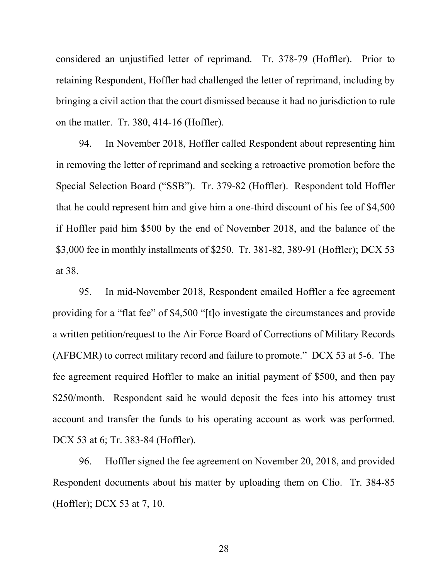considered an unjustified letter of reprimand. Tr. 378-79 (Hoffler). Prior to retaining Respondent, Hoffler had challenged the letter of reprimand, including by bringing a civil action that the court dismissed because it had no jurisdiction to rule on the matter. Tr. 380, 414-16 (Hoffler).

94. In November 2018, Hoffler called Respondent about representing him in removing the letter of reprimand and seeking a retroactive promotion before the Special Selection Board ("SSB"). Tr. 379-82 (Hoffler). Respondent told Hoffler that he could represent him and give him a one-third discount of his fee of \$4,500 if Hoffler paid him \$500 by the end of November 2018, and the balance of the \$3,000 fee in monthly installments of \$250. Tr. 381-82, 389-91 (Hoffler); DCX 53 at 38.

95. In mid-November 2018, Respondent emailed Hoffler a fee agreement providing for a "flat fee" of \$4,500 "[t]o investigate the circumstances and provide a written petition/request to the Air Force Board of Corrections of Military Records (AFBCMR) to correct military record and failure to promote." DCX 53 at 5-6. The fee agreement required Hoffler to make an initial payment of \$500, and then pay \$250/month. Respondent said he would deposit the fees into his attorney trust account and transfer the funds to his operating account as work was performed. DCX 53 at 6; Tr. 383-84 (Hoffler).

96. Hoffler signed the fee agreement on November 20, 2018, and provided Respondent documents about his matter by uploading them on Clio. Tr. 384-85 (Hoffler); DCX 53 at 7, 10.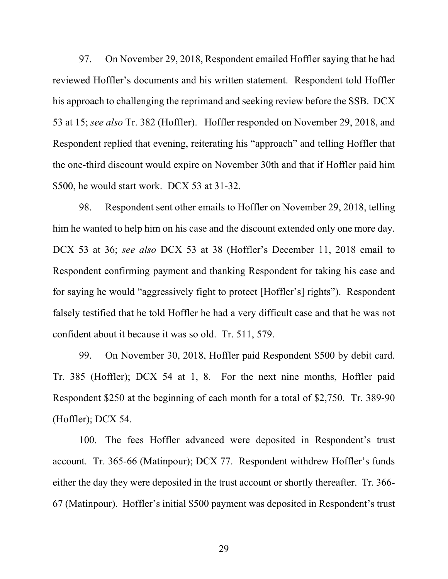97. On November 29, 2018, Respondent emailed Hoffler saying that he had reviewed Hoffler's documents and his written statement. Respondent told Hoffler his approach to challenging the reprimand and seeking review before the SSB. DCX 53 at 15; *see also* Tr. 382 (Hoffler). Hoffler responded on November 29, 2018, and Respondent replied that evening, reiterating his "approach" and telling Hoffler that the one-third discount would expire on November 30th and that if Hoffler paid him \$500, he would start work. DCX 53 at 31-32.

98. Respondent sent other emails to Hoffler on November 29, 2018, telling him he wanted to help him on his case and the discount extended only one more day. DCX 53 at 36; *see also* DCX 53 at 38 (Hoffler's December 11, 2018 email to Respondent confirming payment and thanking Respondent for taking his case and for saying he would "aggressively fight to protect [Hoffler's] rights"). Respondent falsely testified that he told Hoffler he had a very difficult case and that he was not confident about it because it was so old. Tr. 511, 579.

99. On November 30, 2018, Hoffler paid Respondent \$500 by debit card. Tr. 385 (Hoffler); DCX 54 at 1, 8. For the next nine months, Hoffler paid Respondent \$250 at the beginning of each month for a total of \$2,750. Tr. 389-90 (Hoffler); DCX 54.

100. The fees Hoffler advanced were deposited in Respondent's trust account. Tr. 365-66 (Matinpour); DCX 77. Respondent withdrew Hoffler's funds either the day they were deposited in the trust account or shortly thereafter. Tr. 366- 67 (Matinpour). Hoffler's initial \$500 payment was deposited in Respondent's trust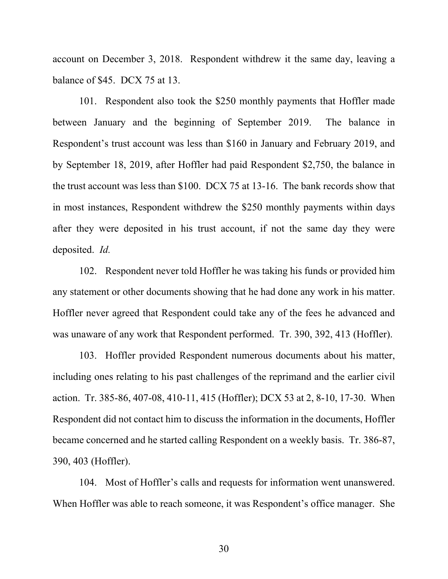account on December 3, 2018. Respondent withdrew it the same day, leaving a balance of \$45. DCX 75 at 13.

101. Respondent also took the \$250 monthly payments that Hoffler made between January and the beginning of September 2019. The balance in Respondent's trust account was less than \$160 in January and February 2019, and by September 18, 2019, after Hoffler had paid Respondent \$2,750, the balance in the trust account was less than \$100. DCX 75 at 13-16. The bank records show that in most instances, Respondent withdrew the \$250 monthly payments within days after they were deposited in his trust account, if not the same day they were deposited. *Id.*

102. Respondent never told Hoffler he was taking his funds or provided him any statement or other documents showing that he had done any work in his matter. Hoffler never agreed that Respondent could take any of the fees he advanced and was unaware of any work that Respondent performed. Tr. 390, 392, 413 (Hoffler).

103. Hoffler provided Respondent numerous documents about his matter, including ones relating to his past challenges of the reprimand and the earlier civil action. Tr. 385-86, 407-08, 410-11, 415 (Hoffler); DCX 53 at 2, 8-10, 17-30. When Respondent did not contact him to discuss the information in the documents, Hoffler became concerned and he started calling Respondent on a weekly basis. Tr. 386-87, 390, 403 (Hoffler).

104. Most of Hoffler's calls and requests for information went unanswered. When Hoffler was able to reach someone, it was Respondent's office manager. She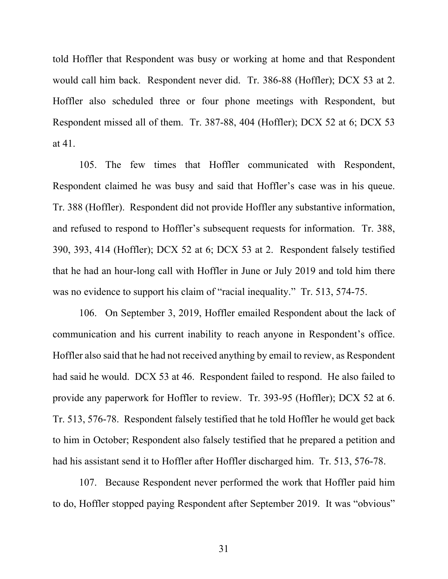told Hoffler that Respondent was busy or working at home and that Respondent would call him back. Respondent never did. Tr. 386-88 (Hoffler); DCX 53 at 2. Hoffler also scheduled three or four phone meetings with Respondent, but Respondent missed all of them. Tr. 387-88, 404 (Hoffler); DCX 52 at 6; DCX 53 at 41.

105. The few times that Hoffler communicated with Respondent, Respondent claimed he was busy and said that Hoffler's case was in his queue. Tr. 388 (Hoffler). Respondent did not provide Hoffler any substantive information, and refused to respond to Hoffler's subsequent requests for information. Tr. 388, 390, 393, 414 (Hoffler); DCX 52 at 6; DCX 53 at 2. Respondent falsely testified that he had an hour-long call with Hoffler in June or July 2019 and told him there was no evidence to support his claim of "racial inequality." Tr. 513, 574-75.

106. On September 3, 2019, Hoffler emailed Respondent about the lack of communication and his current inability to reach anyone in Respondent's office. Hoffler also said that he had not received anything by email to review, as Respondent had said he would. DCX 53 at 46. Respondent failed to respond. He also failed to provide any paperwork for Hoffler to review. Tr. 393-95 (Hoffler); DCX 52 at 6. Tr. 513, 576-78. Respondent falsely testified that he told Hoffler he would get back to him in October; Respondent also falsely testified that he prepared a petition and had his assistant send it to Hoffler after Hoffler discharged him. Tr. 513, 576-78.

107. Because Respondent never performed the work that Hoffler paid him to do, Hoffler stopped paying Respondent after September 2019. It was "obvious"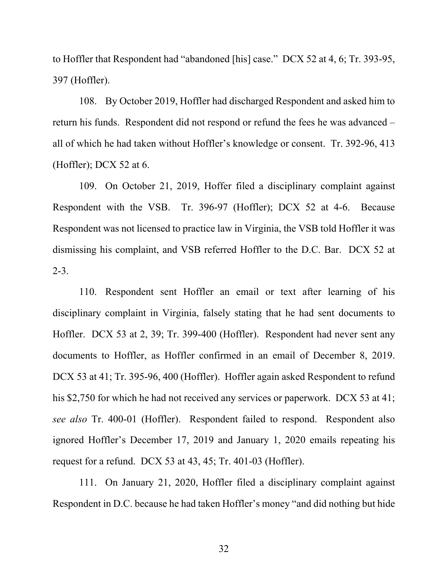to Hoffler that Respondent had "abandoned [his] case." DCX 52 at 4, 6; Tr. 393-95, 397 (Hoffler).

108. By October 2019, Hoffler had discharged Respondent and asked him to return his funds. Respondent did not respond or refund the fees he was advanced – all of which he had taken without Hoffler's knowledge or consent. Tr. 392-96, 413 (Hoffler); DCX 52 at 6.

109. On October 21, 2019, Hoffer filed a disciplinary complaint against Respondent with the VSB. Tr. 396-97 (Hoffler); DCX 52 at 4-6. Because Respondent was not licensed to practice law in Virginia, the VSB told Hoffler it was dismissing his complaint, and VSB referred Hoffler to the D.C. Bar. DCX 52 at  $2 - 3$ .

110. Respondent sent Hoffler an email or text after learning of his disciplinary complaint in Virginia, falsely stating that he had sent documents to Hoffler. DCX 53 at 2, 39; Tr. 399-400 (Hoffler). Respondent had never sent any documents to Hoffler, as Hoffler confirmed in an email of December 8, 2019. DCX 53 at 41; Tr. 395-96, 400 (Hoffler). Hoffler again asked Respondent to refund his \$2,750 for which he had not received any services or paperwork. DCX 53 at 41; *see also* Tr. 400-01 (Hoffler). Respondent failed to respond. Respondent also ignored Hoffler's December 17, 2019 and January 1, 2020 emails repeating his request for a refund. DCX 53 at 43, 45; Tr. 401-03 (Hoffler).

111. On January 21, 2020, Hoffler filed a disciplinary complaint against Respondent in D.C. because he had taken Hoffler's money "and did nothing but hide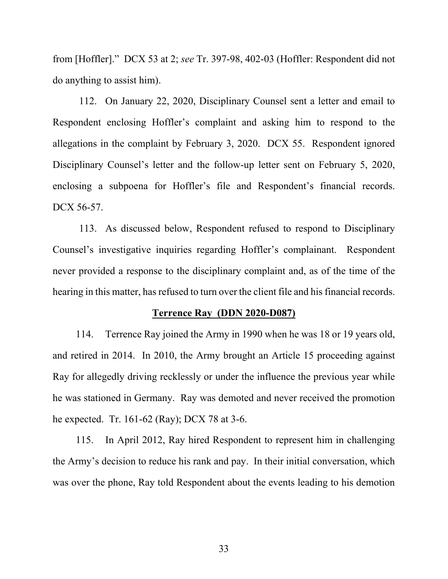from [Hoffler]." DCX 53 at 2; *see* Tr. 397-98, 402-03 (Hoffler: Respondent did not do anything to assist him).

112. On January 22, 2020, Disciplinary Counsel sent a letter and email to Respondent enclosing Hoffler's complaint and asking him to respond to the allegations in the complaint by February 3, 2020. DCX 55. Respondent ignored Disciplinary Counsel's letter and the follow-up letter sent on February 5, 2020, enclosing a subpoena for Hoffler's file and Respondent's financial records. DCX 56-57.

113. As discussed below, Respondent refused to respond to Disciplinary Counsel's investigative inquiries regarding Hoffler's complainant. Respondent never provided a response to the disciplinary complaint and, as of the time of the hearing in this matter, has refused to turn over the client file and his financial records.

### **Terrence Ray (DDN 2020-D087)**

114. Terrence Ray joined the Army in 1990 when he was 18 or 19 years old, and retired in 2014. In 2010, the Army brought an Article 15 proceeding against Ray for allegedly driving recklessly or under the influence the previous year while he was stationed in Germany. Ray was demoted and never received the promotion he expected. Tr. 161-62 (Ray); DCX 78 at 3-6.

115. In April 2012, Ray hired Respondent to represent him in challenging the Army's decision to reduce his rank and pay. In their initial conversation, which was over the phone, Ray told Respondent about the events leading to his demotion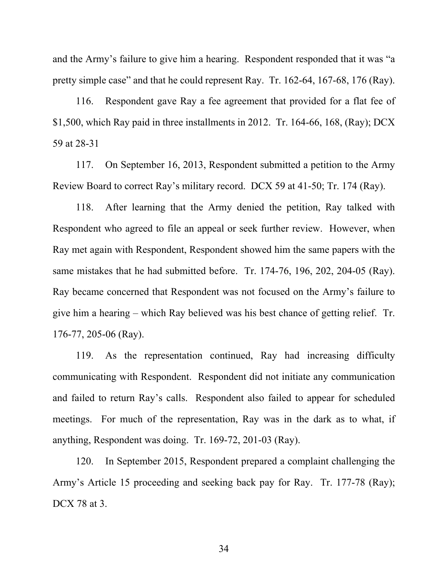and the Army's failure to give him a hearing. Respondent responded that it was "a pretty simple case" and that he could represent Ray. Tr. 162-64, 167-68, 176 (Ray).

116. Respondent gave Ray a fee agreement that provided for a flat fee of \$1,500, which Ray paid in three installments in 2012. Tr. 164-66, 168, (Ray); DCX 59 at 28-31

117. On September 16, 2013, Respondent submitted a petition to the Army Review Board to correct Ray's military record. DCX 59 at 41-50; Tr. 174 (Ray).

118. After learning that the Army denied the petition, Ray talked with Respondent who agreed to file an appeal or seek further review. However, when Ray met again with Respondent, Respondent showed him the same papers with the same mistakes that he had submitted before. Tr. 174-76, 196, 202, 204-05 (Ray). Ray became concerned that Respondent was not focused on the Army's failure to give him a hearing – which Ray believed was his best chance of getting relief. Tr. 176-77, 205-06 (Ray).

119. As the representation continued, Ray had increasing difficulty communicating with Respondent. Respondent did not initiate any communication and failed to return Ray's calls. Respondent also failed to appear for scheduled meetings. For much of the representation, Ray was in the dark as to what, if anything, Respondent was doing. Tr. 169-72, 201-03 (Ray).

120. In September 2015, Respondent prepared a complaint challenging the Army's Article 15 proceeding and seeking back pay for Ray. Tr. 177-78 (Ray); DCX 78 at 3.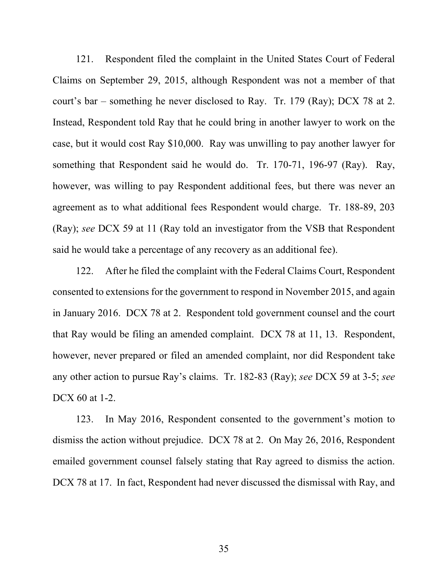121. Respondent filed the complaint in the United States Court of Federal Claims on September 29, 2015, although Respondent was not a member of that court's bar – something he never disclosed to Ray. Tr. 179 (Ray); DCX 78 at 2. Instead, Respondent told Ray that he could bring in another lawyer to work on the case, but it would cost Ray \$10,000. Ray was unwilling to pay another lawyer for something that Respondent said he would do. Tr. 170-71, 196-97 (Ray). Ray, however, was willing to pay Respondent additional fees, but there was never an agreement as to what additional fees Respondent would charge. Tr. 188-89, 203 (Ray); *see* DCX 59 at 11 (Ray told an investigator from the VSB that Respondent said he would take a percentage of any recovery as an additional fee).

122. After he filed the complaint with the Federal Claims Court, Respondent consented to extensions for the government to respond in November 2015, and again in January 2016. DCX 78 at 2. Respondent told government counsel and the court that Ray would be filing an amended complaint. DCX 78 at 11, 13. Respondent, however, never prepared or filed an amended complaint, nor did Respondent take any other action to pursue Ray's claims. Tr. 182-83 (Ray); *see* DCX 59 at 3-5; *see*  DCX 60 at 1-2.

123. In May 2016, Respondent consented to the government's motion to dismiss the action without prejudice. DCX 78 at 2. On May 26, 2016, Respondent emailed government counsel falsely stating that Ray agreed to dismiss the action. DCX 78 at 17. In fact, Respondent had never discussed the dismissal with Ray, and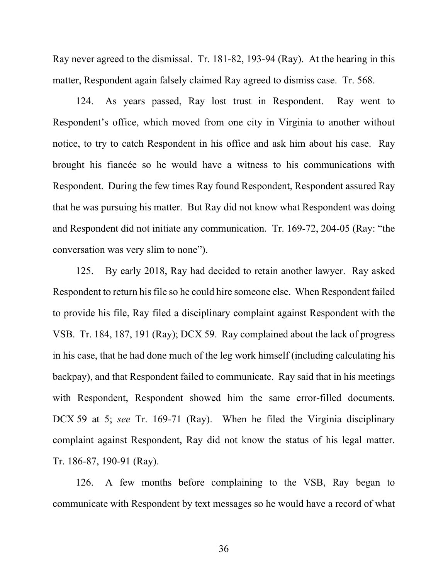Ray never agreed to the dismissal. Tr. 181-82, 193-94 (Ray). At the hearing in this matter, Respondent again falsely claimed Ray agreed to dismiss case. Tr. 568.

124. As years passed, Ray lost trust in Respondent. Ray went to Respondent's office, which moved from one city in Virginia to another without notice, to try to catch Respondent in his office and ask him about his case. Ray brought his fiancée so he would have a witness to his communications with Respondent. During the few times Ray found Respondent, Respondent assured Ray that he was pursuing his matter. But Ray did not know what Respondent was doing and Respondent did not initiate any communication. Tr. 169-72, 204-05 (Ray: "the conversation was very slim to none").

125. By early 2018, Ray had decided to retain another lawyer. Ray asked Respondent to return his file so he could hire someone else. When Respondent failed to provide his file, Ray filed a disciplinary complaint against Respondent with the VSB. Tr. 184, 187, 191 (Ray); DCX 59. Ray complained about the lack of progress in his case, that he had done much of the leg work himself (including calculating his backpay), and that Respondent failed to communicate. Ray said that in his meetings with Respondent, Respondent showed him the same error-filled documents. DCX 59 at 5; *see* Tr. 169-71 (Ray). When he filed the Virginia disciplinary complaint against Respondent, Ray did not know the status of his legal matter. Tr. 186-87, 190-91 (Ray).

126. A few months before complaining to the VSB, Ray began to communicate with Respondent by text messages so he would have a record of what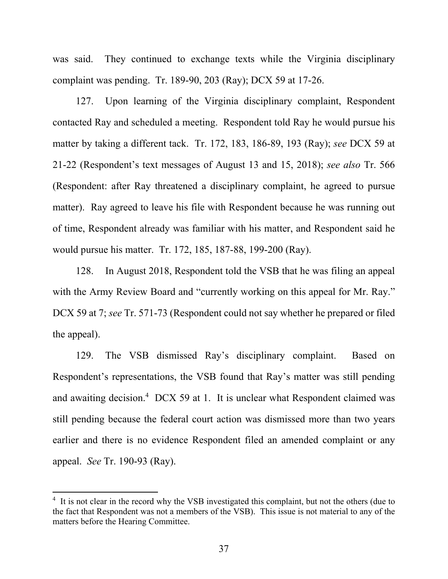was said. They continued to exchange texts while the Virginia disciplinary complaint was pending. Tr. 189-90, 203 (Ray); DCX 59 at 17-26.

127. Upon learning of the Virginia disciplinary complaint, Respondent contacted Ray and scheduled a meeting. Respondent told Ray he would pursue his matter by taking a different tack. Tr. 172, 183, 186-89, 193 (Ray); *see* DCX 59 at 21-22 (Respondent's text messages of August 13 and 15, 2018); *see also* Tr. 566 (Respondent: after Ray threatened a disciplinary complaint, he agreed to pursue matter). Ray agreed to leave his file with Respondent because he was running out of time, Respondent already was familiar with his matter, and Respondent said he would pursue his matter. Tr. 172, 185, 187-88, 199-200 (Ray).

128. In August 2018, Respondent told the VSB that he was filing an appeal with the Army Review Board and "currently working on this appeal for Mr. Ray." DCX 59 at 7; *see* Tr. 571-73 (Respondent could not say whether he prepared or filed the appeal).

129. The VSB dismissed Ray's disciplinary complaint. Based on Respondent's representations, the VSB found that Ray's matter was still pending and awaiting decision.<sup>4</sup> DCX 59 at 1. It is unclear what Respondent claimed was still pending because the federal court action was dismissed more than two years earlier and there is no evidence Respondent filed an amended complaint or any appeal. *See* Tr. 190-93 (Ray).

<sup>&</sup>lt;sup>4</sup> It is not clear in the record why the VSB investigated this complaint, but not the others (due to the fact that Respondent was not a members of the VSB). This issue is not material to any of the matters before the Hearing Committee.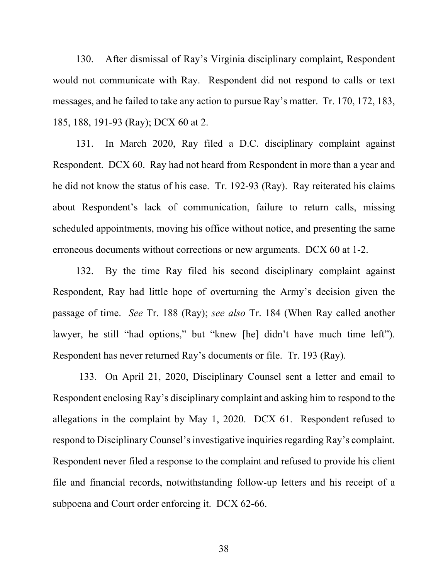130. After dismissal of Ray's Virginia disciplinary complaint, Respondent would not communicate with Ray. Respondent did not respond to calls or text messages, and he failed to take any action to pursue Ray's matter. Tr. 170, 172, 183, 185, 188, 191-93 (Ray); DCX 60 at 2.

131. In March 2020, Ray filed a D.C. disciplinary complaint against Respondent. DCX 60. Ray had not heard from Respondent in more than a year and he did not know the status of his case. Tr. 192-93 (Ray). Ray reiterated his claims about Respondent's lack of communication, failure to return calls, missing scheduled appointments, moving his office without notice, and presenting the same erroneous documents without corrections or new arguments. DCX 60 at 1-2.

132. By the time Ray filed his second disciplinary complaint against Respondent, Ray had little hope of overturning the Army's decision given the passage of time. *See* Tr. 188 (Ray); *see also* Tr. 184 (When Ray called another lawyer, he still "had options," but "knew [he] didn't have much time left"). Respondent has never returned Ray's documents or file. Tr. 193 (Ray).

133. On April 21, 2020, Disciplinary Counsel sent a letter and email to Respondent enclosing Ray's disciplinary complaint and asking him to respond to the allegations in the complaint by May 1, 2020. DCX 61. Respondent refused to respond to Disciplinary Counsel's investigative inquiries regarding Ray's complaint. Respondent never filed a response to the complaint and refused to provide his client file and financial records, notwithstanding follow-up letters and his receipt of a subpoena and Court order enforcing it. DCX 62-66.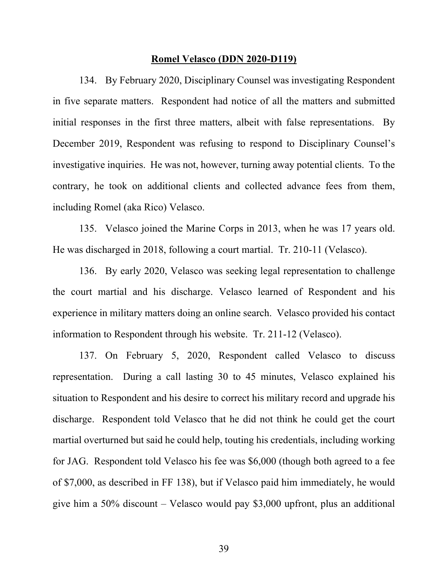#### **Romel Velasco (DDN 2020-D119)**

134. By February 2020, Disciplinary Counsel was investigating Respondent in five separate matters. Respondent had notice of all the matters and submitted initial responses in the first three matters, albeit with false representations. By December 2019, Respondent was refusing to respond to Disciplinary Counsel's investigative inquiries. He was not, however, turning away potential clients. To the contrary, he took on additional clients and collected advance fees from them, including Romel (aka Rico) Velasco.

135. Velasco joined the Marine Corps in 2013, when he was 17 years old. He was discharged in 2018, following a court martial. Tr. 210-11 (Velasco).

136. By early 2020, Velasco was seeking legal representation to challenge the court martial and his discharge. Velasco learned of Respondent and his experience in military matters doing an online search. Velasco provided his contact information to Respondent through his website. Tr. 211-12 (Velasco).

137. On February 5, 2020, Respondent called Velasco to discuss representation. During a call lasting 30 to 45 minutes, Velasco explained his situation to Respondent and his desire to correct his military record and upgrade his discharge. Respondent told Velasco that he did not think he could get the court martial overturned but said he could help, touting his credentials, including working for JAG. Respondent told Velasco his fee was \$6,000 (though both agreed to a fee of \$7,000, as described in FF 138), but if Velasco paid him immediately, he would give him a 50% discount – Velasco would pay \$3,000 upfront, plus an additional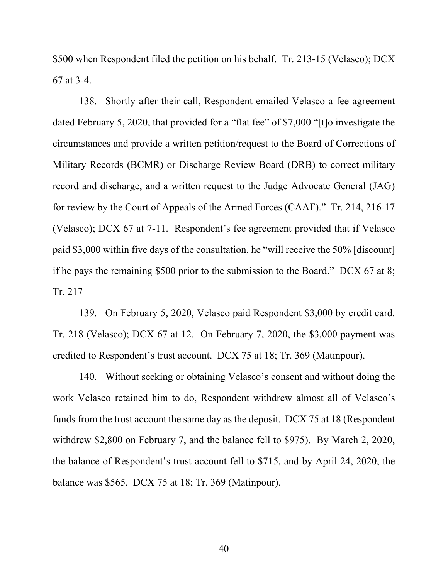\$500 when Respondent filed the petition on his behalf. Tr. 213-15 (Velasco); DCX 67 at 3-4.

138. Shortly after their call, Respondent emailed Velasco a fee agreement dated February 5, 2020, that provided for a "flat fee" of \$7,000 "[t]o investigate the circumstances and provide a written petition/request to the Board of Corrections of Military Records (BCMR) or Discharge Review Board (DRB) to correct military record and discharge, and a written request to the Judge Advocate General (JAG) for review by the Court of Appeals of the Armed Forces (CAAF)." Tr. 214, 216-17 (Velasco); DCX 67 at 7-11. Respondent's fee agreement provided that if Velasco paid \$3,000 within five days of the consultation, he "will receive the 50% [discount] if he pays the remaining \$500 prior to the submission to the Board." DCX 67 at 8; Tr. 217

139. On February 5, 2020, Velasco paid Respondent \$3,000 by credit card. Tr. 218 (Velasco); DCX 67 at 12. On February 7, 2020, the \$3,000 payment was credited to Respondent's trust account. DCX 75 at 18; Tr. 369 (Matinpour).

140. Without seeking or obtaining Velasco's consent and without doing the work Velasco retained him to do, Respondent withdrew almost all of Velasco's funds from the trust account the same day as the deposit. DCX 75 at 18 (Respondent withdrew \$2,800 on February 7, and the balance fell to \$975). By March 2, 2020, the balance of Respondent's trust account fell to \$715, and by April 24, 2020, the balance was \$565. DCX 75 at 18; Tr. 369 (Matinpour).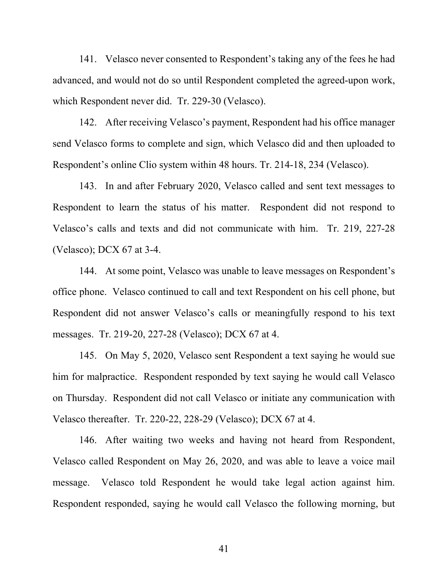141. Velasco never consented to Respondent's taking any of the fees he had advanced, and would not do so until Respondent completed the agreed-upon work, which Respondent never did. Tr. 229-30 (Velasco).

142. After receiving Velasco's payment, Respondent had his office manager send Velasco forms to complete and sign, which Velasco did and then uploaded to Respondent's online Clio system within 48 hours. Tr. 214-18, 234 (Velasco).

143. In and after February 2020, Velasco called and sent text messages to Respondent to learn the status of his matter. Respondent did not respond to Velasco's calls and texts and did not communicate with him. Tr. 219, 227-28 (Velasco); DCX 67 at 3-4.

144. At some point, Velasco was unable to leave messages on Respondent's office phone. Velasco continued to call and text Respondent on his cell phone, but Respondent did not answer Velasco's calls or meaningfully respond to his text messages. Tr. 219-20, 227-28 (Velasco); DCX 67 at 4.

145. On May 5, 2020, Velasco sent Respondent a text saying he would sue him for malpractice. Respondent responded by text saying he would call Velasco on Thursday. Respondent did not call Velasco or initiate any communication with Velasco thereafter. Tr. 220-22, 228-29 (Velasco); DCX 67 at 4.

146. After waiting two weeks and having not heard from Respondent, Velasco called Respondent on May 26, 2020, and was able to leave a voice mail message. Velasco told Respondent he would take legal action against him. Respondent responded, saying he would call Velasco the following morning, but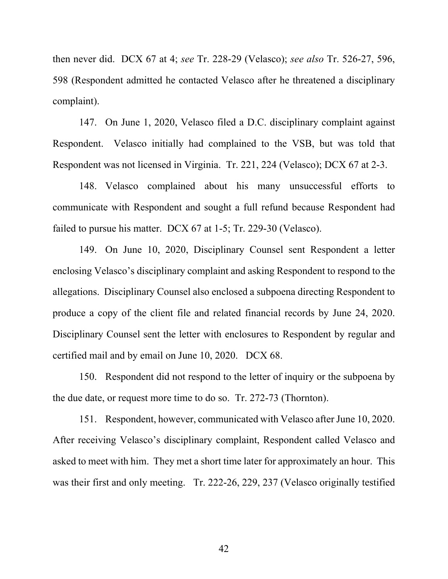then never did. DCX 67 at 4; *see* Tr. 228-29 (Velasco); *see also* Tr. 526-27, 596, 598 (Respondent admitted he contacted Velasco after he threatened a disciplinary complaint).

147. On June 1, 2020, Velasco filed a D.C. disciplinary complaint against Respondent. Velasco initially had complained to the VSB, but was told that Respondent was not licensed in Virginia. Tr. 221, 224 (Velasco); DCX 67 at 2-3.

148. Velasco complained about his many unsuccessful efforts to communicate with Respondent and sought a full refund because Respondent had failed to pursue his matter. DCX 67 at 1-5; Tr. 229-30 (Velasco).

149. On June 10, 2020, Disciplinary Counsel sent Respondent a letter enclosing Velasco's disciplinary complaint and asking Respondent to respond to the allegations. Disciplinary Counsel also enclosed a subpoena directing Respondent to produce a copy of the client file and related financial records by June 24, 2020. Disciplinary Counsel sent the letter with enclosures to Respondent by regular and certified mail and by email on June 10, 2020. DCX 68.

150. Respondent did not respond to the letter of inquiry or the subpoena by the due date, or request more time to do so. Tr. 272-73 (Thornton).

151. Respondent, however, communicated with Velasco after June 10, 2020. After receiving Velasco's disciplinary complaint, Respondent called Velasco and asked to meet with him. They met a short time later for approximately an hour. This was their first and only meeting. Tr. 222-26, 229, 237 (Velasco originally testified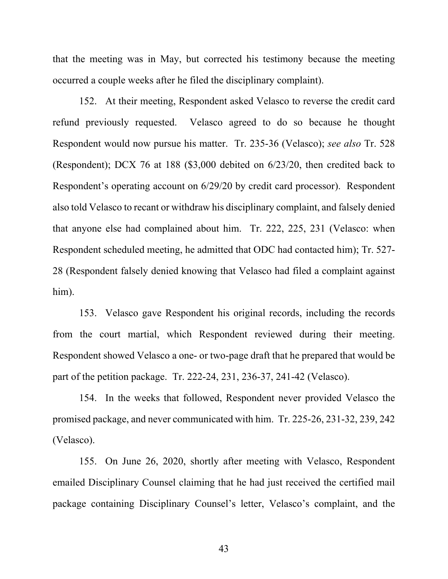that the meeting was in May, but corrected his testimony because the meeting occurred a couple weeks after he filed the disciplinary complaint).

152. At their meeting, Respondent asked Velasco to reverse the credit card refund previously requested. Velasco agreed to do so because he thought Respondent would now pursue his matter. Tr. 235-36 (Velasco); *see also* Tr. 528 (Respondent); DCX 76 at 188 (\$3,000 debited on 6/23/20, then credited back to Respondent's operating account on 6/29/20 by credit card processor). Respondent also told Velasco to recant or withdraw his disciplinary complaint, and falsely denied that anyone else had complained about him. Tr. 222, 225, 231 (Velasco: when Respondent scheduled meeting, he admitted that ODC had contacted him); Tr. 527- 28 (Respondent falsely denied knowing that Velasco had filed a complaint against him).

153. Velasco gave Respondent his original records, including the records from the court martial, which Respondent reviewed during their meeting. Respondent showed Velasco a one- or two-page draft that he prepared that would be part of the petition package. Tr. 222-24, 231, 236-37, 241-42 (Velasco).

154. In the weeks that followed, Respondent never provided Velasco the promised package, and never communicated with him. Tr. 225-26, 231-32, 239, 242 (Velasco).

155. On June 26, 2020, shortly after meeting with Velasco, Respondent emailed Disciplinary Counsel claiming that he had just received the certified mail package containing Disciplinary Counsel's letter, Velasco's complaint, and the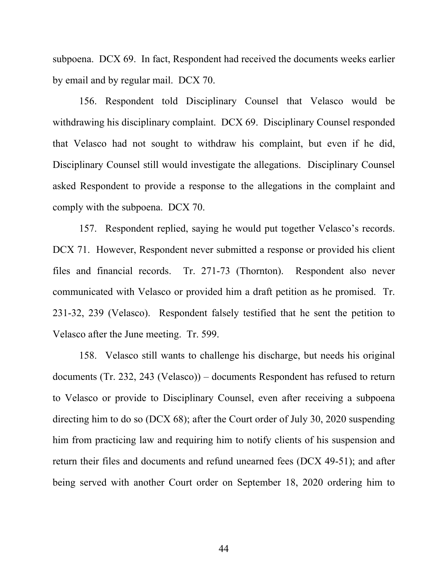subpoena. DCX 69. In fact, Respondent had received the documents weeks earlier by email and by regular mail. DCX 70.

156. Respondent told Disciplinary Counsel that Velasco would be withdrawing his disciplinary complaint. DCX 69. Disciplinary Counsel responded that Velasco had not sought to withdraw his complaint, but even if he did, Disciplinary Counsel still would investigate the allegations. Disciplinary Counsel asked Respondent to provide a response to the allegations in the complaint and comply with the subpoena. DCX 70.

157. Respondent replied, saying he would put together Velasco's records. DCX 71. However, Respondent never submitted a response or provided his client files and financial records. Tr. 271-73 (Thornton). Respondent also never communicated with Velasco or provided him a draft petition as he promised. Tr. 231-32, 239 (Velasco). Respondent falsely testified that he sent the petition to Velasco after the June meeting. Tr. 599.

158. Velasco still wants to challenge his discharge, but needs his original documents (Tr. 232, 243 (Velasco)) – documents Respondent has refused to return to Velasco or provide to Disciplinary Counsel, even after receiving a subpoena directing him to do so (DCX 68); after the Court order of July 30, 2020 suspending him from practicing law and requiring him to notify clients of his suspension and return their files and documents and refund unearned fees (DCX 49-51); and after being served with another Court order on September 18, 2020 ordering him to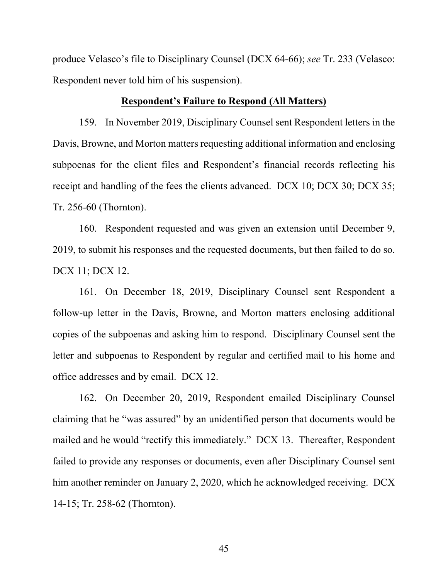produce Velasco's file to Disciplinary Counsel (DCX 64-66); *see* Tr. 233 (Velasco: Respondent never told him of his suspension).

### **Respondent's Failure to Respond (All Matters)**

159. In November 2019, Disciplinary Counsel sent Respondent letters in the Davis, Browne, and Morton matters requesting additional information and enclosing subpoenas for the client files and Respondent's financial records reflecting his receipt and handling of the fees the clients advanced. DCX 10; DCX 30; DCX 35; Tr. 256-60 (Thornton).

160. Respondent requested and was given an extension until December 9, 2019, to submit his responses and the requested documents, but then failed to do so. DCX 11; DCX 12.

161. On December 18, 2019, Disciplinary Counsel sent Respondent a follow-up letter in the Davis, Browne, and Morton matters enclosing additional copies of the subpoenas and asking him to respond. Disciplinary Counsel sent the letter and subpoenas to Respondent by regular and certified mail to his home and office addresses and by email. DCX 12.

162. On December 20, 2019, Respondent emailed Disciplinary Counsel claiming that he "was assured" by an unidentified person that documents would be mailed and he would "rectify this immediately." DCX 13. Thereafter, Respondent failed to provide any responses or documents, even after Disciplinary Counsel sent him another reminder on January 2, 2020, which he acknowledged receiving. DCX 14-15; Tr. 258-62 (Thornton).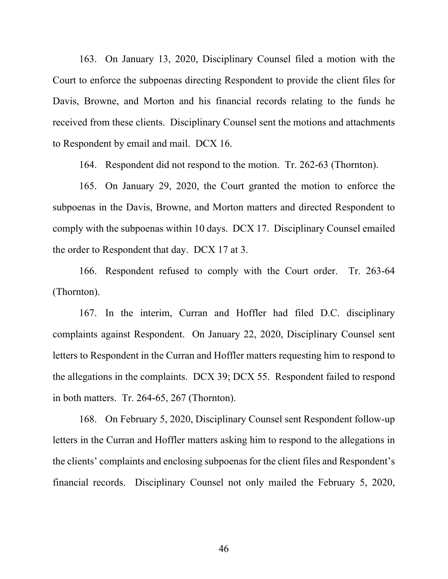163. On January 13, 2020, Disciplinary Counsel filed a motion with the Court to enforce the subpoenas directing Respondent to provide the client files for Davis, Browne, and Morton and his financial records relating to the funds he received from these clients. Disciplinary Counsel sent the motions and attachments to Respondent by email and mail. DCX 16.

164. Respondent did not respond to the motion. Tr. 262-63 (Thornton).

165. On January 29, 2020, the Court granted the motion to enforce the subpoenas in the Davis, Browne, and Morton matters and directed Respondent to comply with the subpoenas within 10 days. DCX 17. Disciplinary Counsel emailed the order to Respondent that day. DCX 17 at 3.

166. Respondent refused to comply with the Court order. Tr. 263-64 (Thornton).

167. In the interim, Curran and Hoffler had filed D.C. disciplinary complaints against Respondent. On January 22, 2020, Disciplinary Counsel sent letters to Respondent in the Curran and Hoffler matters requesting him to respond to the allegations in the complaints. DCX 39; DCX 55. Respondent failed to respond in both matters. Tr. 264-65, 267 (Thornton).

168. On February 5, 2020, Disciplinary Counsel sent Respondent follow-up letters in the Curran and Hoffler matters asking him to respond to the allegations in the clients' complaints and enclosing subpoenas for the client files and Respondent's financial records. Disciplinary Counsel not only mailed the February 5, 2020,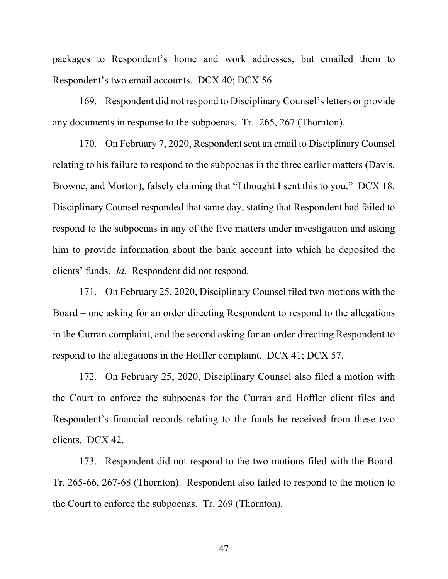packages to Respondent's home and work addresses, but emailed them to Respondent's two email accounts. DCX 40; DCX 56.

169. Respondent did not respond to Disciplinary Counsel's letters or provide any documents in response to the subpoenas. Tr. 265, 267 (Thornton).

170. On February 7, 2020, Respondent sent an email to Disciplinary Counsel relating to his failure to respond to the subpoenas in the three earlier matters (Davis, Browne, and Morton), falsely claiming that "I thought I sent this to you." DCX 18. Disciplinary Counsel responded that same day, stating that Respondent had failed to respond to the subpoenas in any of the five matters under investigation and asking him to provide information about the bank account into which he deposited the clients' funds. *Id.* Respondent did not respond.

171. On February 25, 2020, Disciplinary Counsel filed two motions with the Board – one asking for an order directing Respondent to respond to the allegations in the Curran complaint, and the second asking for an order directing Respondent to respond to the allegations in the Hoffler complaint. DCX 41; DCX 57.

172. On February 25, 2020, Disciplinary Counsel also filed a motion with the Court to enforce the subpoenas for the Curran and Hoffler client files and Respondent's financial records relating to the funds he received from these two clients. DCX 42.

173. Respondent did not respond to the two motions filed with the Board. Tr. 265-66, 267-68 (Thornton). Respondent also failed to respond to the motion to the Court to enforce the subpoenas. Tr. 269 (Thornton).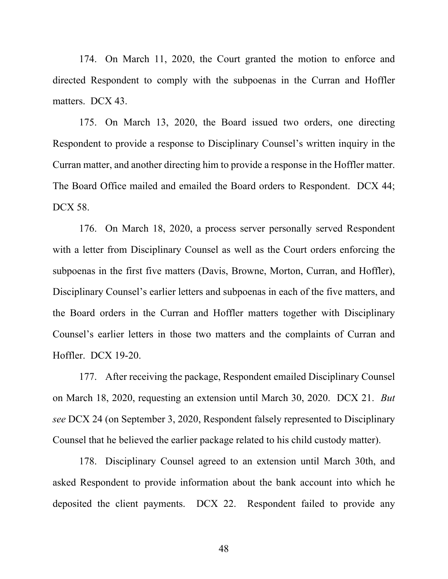174. On March 11, 2020, the Court granted the motion to enforce and directed Respondent to comply with the subpoenas in the Curran and Hoffler matters. DCX 43.

175. On March 13, 2020, the Board issued two orders, one directing Respondent to provide a response to Disciplinary Counsel's written inquiry in the Curran matter, and another directing him to provide a response in the Hoffler matter. The Board Office mailed and emailed the Board orders to Respondent. DCX 44; DCX 58.

176. On March 18, 2020, a process server personally served Respondent with a letter from Disciplinary Counsel as well as the Court orders enforcing the subpoenas in the first five matters (Davis, Browne, Morton, Curran, and Hoffler), Disciplinary Counsel's earlier letters and subpoenas in each of the five matters, and the Board orders in the Curran and Hoffler matters together with Disciplinary Counsel's earlier letters in those two matters and the complaints of Curran and Hoffler. DCX 19-20.

177. After receiving the package, Respondent emailed Disciplinary Counsel on March 18, 2020, requesting an extension until March 30, 2020. DCX 21. *But see* DCX 24 (on September 3, 2020, Respondent falsely represented to Disciplinary Counsel that he believed the earlier package related to his child custody matter).

178. Disciplinary Counsel agreed to an extension until March 30th, and asked Respondent to provide information about the bank account into which he deposited the client payments. DCX 22. Respondent failed to provide any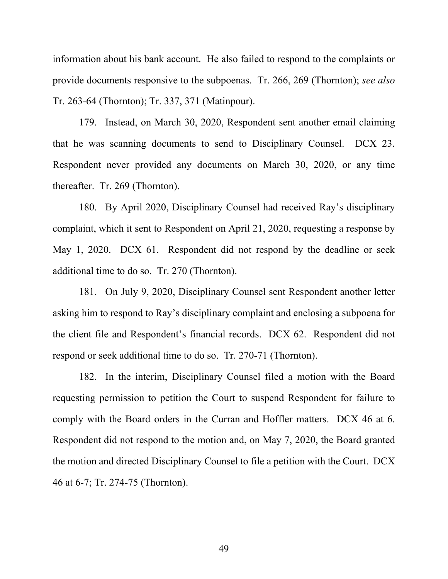information about his bank account. He also failed to respond to the complaints or provide documents responsive to the subpoenas. Tr. 266, 269 (Thornton); *see also* Tr. 263-64 (Thornton); Tr. 337, 371 (Matinpour).

179. Instead, on March 30, 2020, Respondent sent another email claiming that he was scanning documents to send to Disciplinary Counsel. DCX 23. Respondent never provided any documents on March 30, 2020, or any time thereafter. Tr. 269 (Thornton).

180. By April 2020, Disciplinary Counsel had received Ray's disciplinary complaint, which it sent to Respondent on April 21, 2020, requesting a response by May 1, 2020. DCX 61. Respondent did not respond by the deadline or seek additional time to do so. Tr. 270 (Thornton).

181. On July 9, 2020, Disciplinary Counsel sent Respondent another letter asking him to respond to Ray's disciplinary complaint and enclosing a subpoena for the client file and Respondent's financial records. DCX 62. Respondent did not respond or seek additional time to do so. Tr. 270-71 (Thornton).

182. In the interim, Disciplinary Counsel filed a motion with the Board requesting permission to petition the Court to suspend Respondent for failure to comply with the Board orders in the Curran and Hoffler matters. DCX 46 at 6. Respondent did not respond to the motion and, on May 7, 2020, the Board granted the motion and directed Disciplinary Counsel to file a petition with the Court. DCX 46 at 6-7; Tr. 274-75 (Thornton).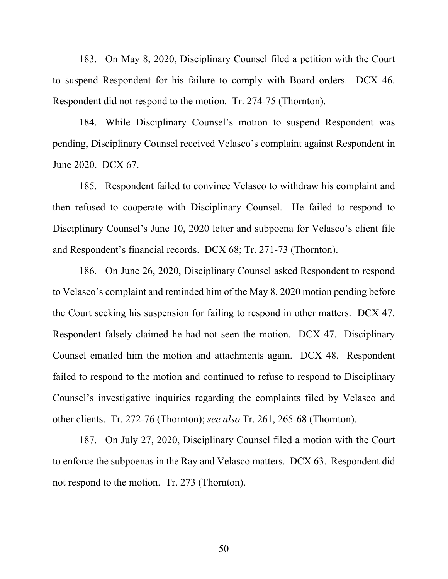183. On May 8, 2020, Disciplinary Counsel filed a petition with the Court to suspend Respondent for his failure to comply with Board orders. DCX 46. Respondent did not respond to the motion. Tr. 274-75 (Thornton).

184. While Disciplinary Counsel's motion to suspend Respondent was pending, Disciplinary Counsel received Velasco's complaint against Respondent in June 2020. DCX 67.

185. Respondent failed to convince Velasco to withdraw his complaint and then refused to cooperate with Disciplinary Counsel. He failed to respond to Disciplinary Counsel's June 10, 2020 letter and subpoena for Velasco's client file and Respondent's financial records. DCX 68; Tr. 271-73 (Thornton).

186. On June 26, 2020, Disciplinary Counsel asked Respondent to respond to Velasco's complaint and reminded him of the May 8, 2020 motion pending before the Court seeking his suspension for failing to respond in other matters. DCX 47. Respondent falsely claimed he had not seen the motion. DCX 47. Disciplinary Counsel emailed him the motion and attachments again. DCX 48. Respondent failed to respond to the motion and continued to refuse to respond to Disciplinary Counsel's investigative inquiries regarding the complaints filed by Velasco and other clients. Tr. 272-76 (Thornton); *see also* Tr. 261, 265-68 (Thornton).

187. On July 27, 2020, Disciplinary Counsel filed a motion with the Court to enforce the subpoenas in the Ray and Velasco matters. DCX 63. Respondent did not respond to the motion. Tr. 273 (Thornton).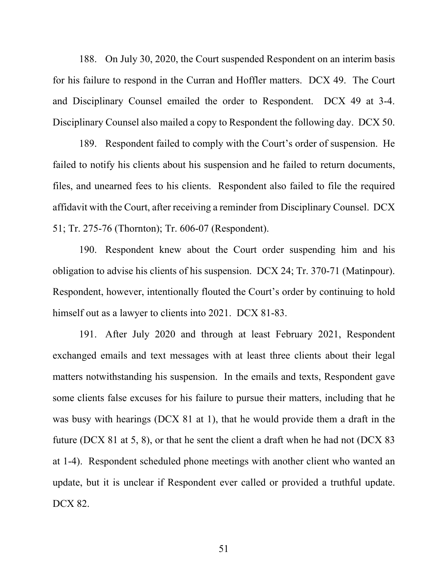188. On July 30, 2020, the Court suspended Respondent on an interim basis for his failure to respond in the Curran and Hoffler matters. DCX 49. The Court and Disciplinary Counsel emailed the order to Respondent. DCX 49 at 3-4. Disciplinary Counsel also mailed a copy to Respondent the following day. DCX 50.

189. Respondent failed to comply with the Court's order of suspension. He failed to notify his clients about his suspension and he failed to return documents, files, and unearned fees to his clients. Respondent also failed to file the required affidavit with the Court, after receiving a reminder from Disciplinary Counsel. DCX 51; Tr. 275-76 (Thornton); Tr. 606-07 (Respondent).

190. Respondent knew about the Court order suspending him and his obligation to advise his clients of his suspension. DCX 24; Tr. 370-71 (Matinpour). Respondent, however, intentionally flouted the Court's order by continuing to hold himself out as a lawyer to clients into 2021. DCX 81-83.

191. After July 2020 and through at least February 2021, Respondent exchanged emails and text messages with at least three clients about their legal matters notwithstanding his suspension. In the emails and texts, Respondent gave some clients false excuses for his failure to pursue their matters, including that he was busy with hearings (DCX 81 at 1), that he would provide them a draft in the future (DCX 81 at 5, 8), or that he sent the client a draft when he had not (DCX 83 at 1-4). Respondent scheduled phone meetings with another client who wanted an update, but it is unclear if Respondent ever called or provided a truthful update. DCX 82.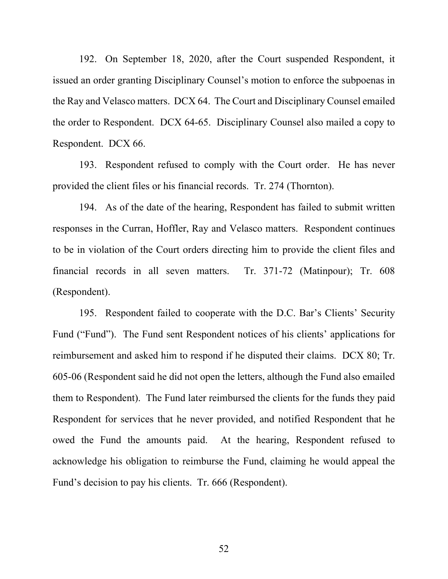192. On September 18, 2020, after the Court suspended Respondent, it issued an order granting Disciplinary Counsel's motion to enforce the subpoenas in the Ray and Velasco matters. DCX 64. The Court and Disciplinary Counsel emailed the order to Respondent. DCX 64-65. Disciplinary Counsel also mailed a copy to Respondent. DCX 66.

193. Respondent refused to comply with the Court order. He has never provided the client files or his financial records. Tr. 274 (Thornton).

194. As of the date of the hearing, Respondent has failed to submit written responses in the Curran, Hoffler, Ray and Velasco matters. Respondent continues to be in violation of the Court orders directing him to provide the client files and financial records in all seven matters. Tr. 371-72 (Matinpour); Tr. 608 (Respondent).

195. Respondent failed to cooperate with the D.C. Bar's Clients' Security Fund ("Fund"). The Fund sent Respondent notices of his clients' applications for reimbursement and asked him to respond if he disputed their claims. DCX 80; Tr. 605-06 (Respondent said he did not open the letters, although the Fund also emailed them to Respondent). The Fund later reimbursed the clients for the funds they paid Respondent for services that he never provided, and notified Respondent that he owed the Fund the amounts paid. At the hearing, Respondent refused to acknowledge his obligation to reimburse the Fund, claiming he would appeal the Fund's decision to pay his clients. Tr. 666 (Respondent).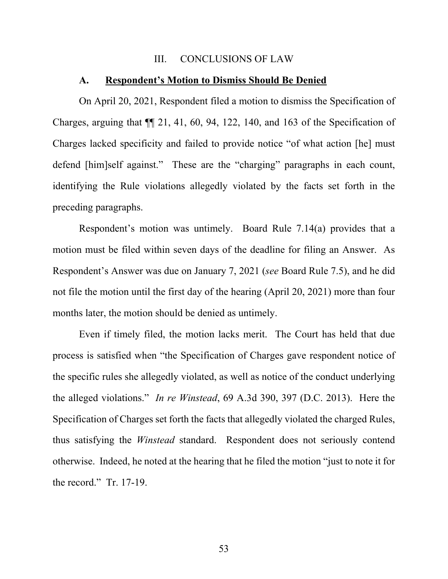#### III. CONCLUSIONS OF LAW

#### **A. Respondent's Motion to Dismiss Should Be Denied**

On April 20, 2021, Respondent filed a motion to dismiss the Specification of Charges, arguing that ¶¶ 21, 41, 60, 94, 122, 140, and 163 of the Specification of Charges lacked specificity and failed to provide notice "of what action [he] must defend [him]self against." These are the "charging" paragraphs in each count, identifying the Rule violations allegedly violated by the facts set forth in the preceding paragraphs.

 Respondent's motion was untimely. Board Rule 7.14(a) provides that a motion must be filed within seven days of the deadline for filing an Answer. As Respondent's Answer was due on January 7, 2021 (*see* Board Rule 7.5), and he did not file the motion until the first day of the hearing (April 20, 2021) more than four months later, the motion should be denied as untimely.

 Even if timely filed, the motion lacks merit. The Court has held that due process is satisfied when "the Specification of Charges gave respondent notice of the specific rules she allegedly violated, as well as notice of the conduct underlying the alleged violations." *In re Winstead*, 69 A.3d 390, 397 (D.C. 2013). Here the Specification of Charges set forth the facts that allegedly violated the charged Rules, thus satisfying the *Winstead* standard. Respondent does not seriously contend otherwise. Indeed, he noted at the hearing that he filed the motion "just to note it for the record." Tr. 17-19.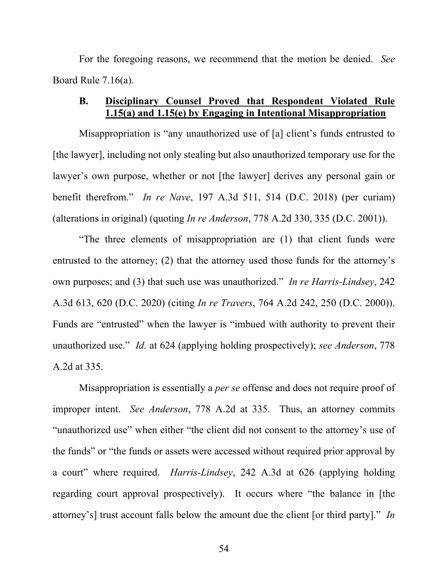For the foregoing reasons, we recommend that the motion be denied. *See*  Board Rule 7.16(a).

## **B. Disciplinary Counsel Proved that Respondent Violated Rule 1.15(a) and 1.15(e) by Engaging in Intentional Misappropriation**

Misappropriation is "any unauthorized use of [a] client's funds entrusted to [the lawyer], including not only stealing but also unauthorized temporary use for the lawyer's own purpose, whether or not [the lawyer] derives any personal gain or benefit therefrom." *In re Nave*, 197 A.3d 511, 514 (D.C. 2018) (per curiam) (alterations in original) (quoting *In re Anderson*, 778 A.2d 330, 335 (D.C. 2001)).

"The three elements of misappropriation are (1) that client funds were entrusted to the attorney; (2) that the attorney used those funds for the attorney's own purposes; and (3) that such use was unauthorized." *In re Harris-Lindsey*, 242 A.3d 613, 620 (D.C. 2020) (citing *In re Travers*, 764 A.2d 242, 250 (D.C. 2000)). Funds are "entrusted" when the lawyer is "imbued with authority to prevent their unauthorized use." *Id.* at 624 (applying holding prospectively); *see Anderson*, 778 A.2d at 335.

Misappropriation is essentially a *per se* offense and does not require proof of improper intent. *See Anderson*, 778 A.2d at 335. Thus, an attorney commits "unauthorized use" when either "the client did not consent to the attorney's use of the funds" or "the funds or assets were accessed without required prior approval by a court" where required. *Harris-Lindsey*, 242 A.3d at 626 (applying holding regarding court approval prospectively). It occurs where "the balance in [the attorney's] trust account falls below the amount due the client [or third party]." *In*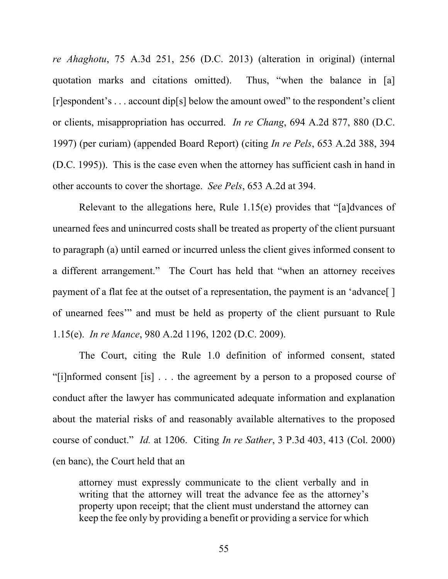*re Ahaghotu*, 75 A.3d 251, 256 (D.C. 2013) (alteration in original) (internal quotation marks and citations omitted). Thus, "when the balance in [a] [r]espondent's . . . account dip[s] below the amount owed" to the respondent's client or clients, misappropriation has occurred. *In re Chang*, 694 A.2d 877, 880 (D.C. 1997) (per curiam) (appended Board Report) (citing *In re Pels*, 653 A.2d 388, 394 (D.C. 1995)). This is the case even when the attorney has sufficient cash in hand in other accounts to cover the shortage. *See Pels*, 653 A.2d at 394.

Relevant to the allegations here, Rule 1.15(e) provides that "[a]dvances of unearned fees and unincurred costs shall be treated as property of the client pursuant to paragraph (a) until earned or incurred unless the client gives informed consent to a different arrangement." The Court has held that "when an attorney receives payment of a flat fee at the outset of a representation, the payment is an 'advance[ ] of unearned fees'" and must be held as property of the client pursuant to Rule 1.15(e). *In re Mance*, 980 A.2d 1196, 1202 (D.C. 2009).

The Court, citing the Rule 1.0 definition of informed consent, stated "[i]nformed consent [is] . . . the agreement by a person to a proposed course of conduct after the lawyer has communicated adequate information and explanation about the material risks of and reasonably available alternatives to the proposed course of conduct." *Id.* at 1206. Citing *In re Sather*, 3 P.3d 403, 413 (Col. 2000) (en banc), the Court held that an

attorney must expressly communicate to the client verbally and in writing that the attorney will treat the advance fee as the attorney's property upon receipt; that the client must understand the attorney can keep the fee only by providing a benefit or providing a service for which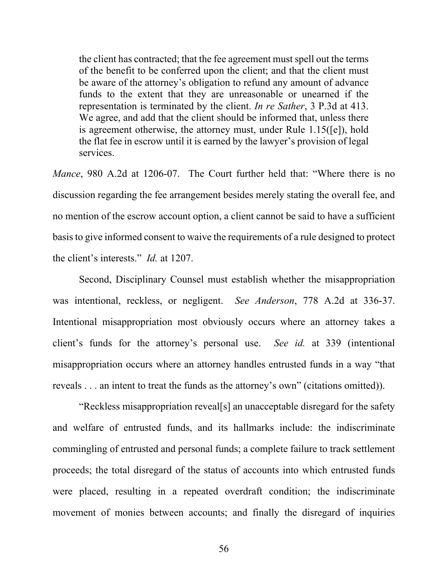the client has contracted; that the fee agreement must spell out the terms of the benefit to be conferred upon the client; and that the client must be aware of the attorney's obligation to refund any amount of advance funds to the extent that they are unreasonable or unearned if the representation is terminated by the client. *In re Sather*, 3 P.3d at 413. We agree, and add that the client should be informed that, unless there is agreement otherwise, the attorney must, under Rule 1.15([e]), hold the flat fee in escrow until it is earned by the lawyer's provision of legal services.

*Mance*, 980 A.2d at 1206-07. The Court further held that: "Where there is no discussion regarding the fee arrangement besides merely stating the overall fee, and no mention of the escrow account option, a client cannot be said to have a sufficient basis to give informed consent to waive the requirements of a rule designed to protect the client's interests." *Id.* at 1207.

Second, Disciplinary Counsel must establish whether the misappropriation was intentional, reckless, or negligent. *See Anderson*, 778 A.2d at 336-37. Intentional misappropriation most obviously occurs where an attorney takes a client's funds for the attorney's personal use. *See id.* at 339 (intentional misappropriation occurs where an attorney handles entrusted funds in a way "that reveals . . . an intent to treat the funds as the attorney's own" (citations omitted)).

"Reckless misappropriation reveal[s] an unacceptable disregard for the safety and welfare of entrusted funds, and its hallmarks include: the indiscriminate commingling of entrusted and personal funds; a complete failure to track settlement proceeds; the total disregard of the status of accounts into which entrusted funds were placed, resulting in a repeated overdraft condition; the indiscriminate movement of monies between accounts; and finally the disregard of inquiries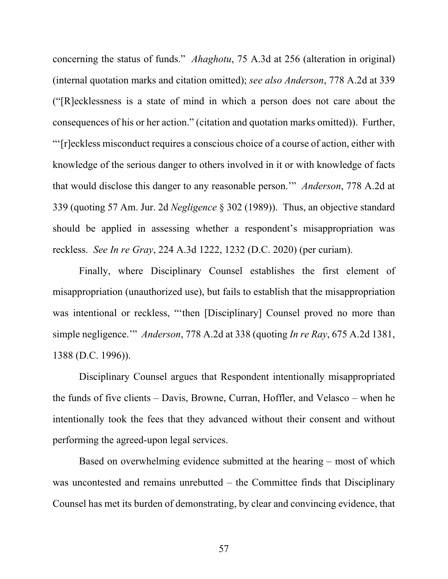concerning the status of funds." *Ahaghotu*, 75 A.3d at 256 (alteration in original) (internal quotation marks and citation omitted); *see also Anderson*, 778 A.2d at 339 ("[R]ecklessness is a state of mind in which a person does not care about the consequences of his or her action." (citation and quotation marks omitted)). Further, "'[r]eckless misconduct requires a conscious choice of a course of action, either with knowledge of the serious danger to others involved in it or with knowledge of facts that would disclose this danger to any reasonable person.'" *Anderson*, 778 A.2d at 339 (quoting 57 Am. Jur. 2d *Negligence* § 302 (1989)). Thus, an objective standard should be applied in assessing whether a respondent's misappropriation was reckless. *See In re Gray*, 224 A.3d 1222, 1232 (D.C. 2020) (per curiam).

Finally, where Disciplinary Counsel establishes the first element of misappropriation (unauthorized use), but fails to establish that the misappropriation was intentional or reckless, "'then [Disciplinary] Counsel proved no more than simple negligence.'" *Anderson*, 778 A.2d at 338 (quoting *In re Ray*, 675 A.2d 1381, 1388 (D.C. 1996)).

Disciplinary Counsel argues that Respondent intentionally misappropriated the funds of five clients – Davis, Browne, Curran, Hoffler, and Velasco – when he intentionally took the fees that they advanced without their consent and without performing the agreed-upon legal services.

Based on overwhelming evidence submitted at the hearing – most of which was uncontested and remains unrebutted – the Committee finds that Disciplinary Counsel has met its burden of demonstrating, by clear and convincing evidence, that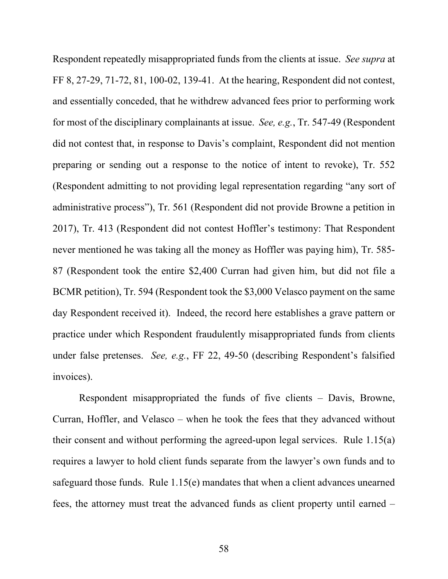Respondent repeatedly misappropriated funds from the clients at issue. *See supra* at FF 8, 27-29, 71-72, 81, 100-02, 139-41. At the hearing, Respondent did not contest, and essentially conceded, that he withdrew advanced fees prior to performing work for most of the disciplinary complainants at issue. *See, e.g.*, Tr. 547-49 (Respondent did not contest that, in response to Davis's complaint, Respondent did not mention preparing or sending out a response to the notice of intent to revoke), Tr. 552 (Respondent admitting to not providing legal representation regarding "any sort of administrative process"), Tr. 561 (Respondent did not provide Browne a petition in 2017), Tr. 413 (Respondent did not contest Hoffler's testimony: That Respondent never mentioned he was taking all the money as Hoffler was paying him), Tr. 585- 87 (Respondent took the entire \$2,400 Curran had given him, but did not file a BCMR petition), Tr. 594 (Respondent took the \$3,000 Velasco payment on the same day Respondent received it). Indeed, the record here establishes a grave pattern or practice under which Respondent fraudulently misappropriated funds from clients under false pretenses. *See, e.g.*, FF 22, 49-50 (describing Respondent's falsified invoices).

Respondent misappropriated the funds of five clients – Davis, Browne, Curran, Hoffler, and Velasco – when he took the fees that they advanced without their consent and without performing the agreed-upon legal services. Rule 1.15(a) requires a lawyer to hold client funds separate from the lawyer's own funds and to safeguard those funds. Rule 1.15(e) mandates that when a client advances unearned fees, the attorney must treat the advanced funds as client property until earned –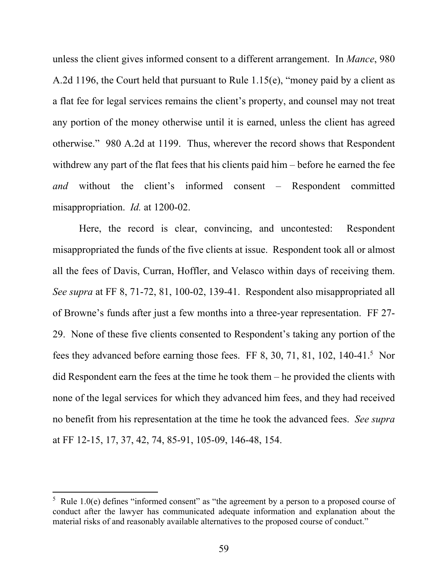unless the client gives informed consent to a different arrangement. In *Mance*, 980 A.2d 1196, the Court held that pursuant to Rule 1.15(e), "money paid by a client as a flat fee for legal services remains the client's property, and counsel may not treat any portion of the money otherwise until it is earned, unless the client has agreed otherwise." 980 A.2d at 1199. Thus, wherever the record shows that Respondent withdrew any part of the flat fees that his clients paid him – before he earned the fee *and* without the client's informed consent – Respondent committed misappropriation. *Id.* at 1200-02.

Here, the record is clear, convincing, and uncontested: Respondent misappropriated the funds of the five clients at issue. Respondent took all or almost all the fees of Davis, Curran, Hoffler, and Velasco within days of receiving them. *See supra* at FF 8, 71-72, 81, 100-02, 139-41. Respondent also misappropriated all of Browne's funds after just a few months into a three-year representation. FF 27- 29. None of these five clients consented to Respondent's taking any portion of the fees they advanced before earning those fees. FF 8, 30, 71, 81, 102, 140-41.<sup>5</sup> Nor did Respondent earn the fees at the time he took them – he provided the clients with none of the legal services for which they advanced him fees, and they had received no benefit from his representation at the time he took the advanced fees. *See supra* at FF 12-15, 17, 37, 42, 74, 85-91, 105-09, 146-48, 154.

 $5$  Rule 1.0(e) defines "informed consent" as "the agreement by a person to a proposed course of conduct after the lawyer has communicated adequate information and explanation about the material risks of and reasonably available alternatives to the proposed course of conduct."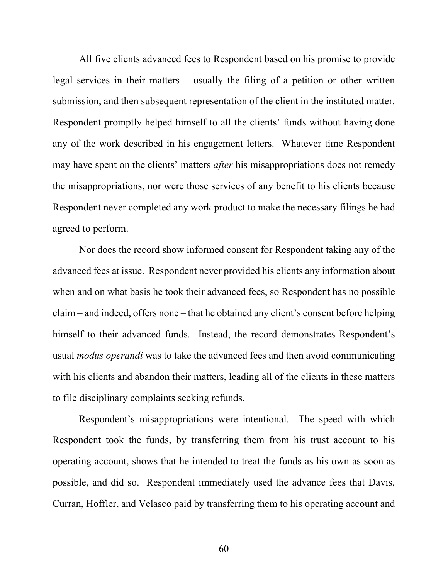All five clients advanced fees to Respondent based on his promise to provide legal services in their matters – usually the filing of a petition or other written submission, and then subsequent representation of the client in the instituted matter. Respondent promptly helped himself to all the clients' funds without having done any of the work described in his engagement letters. Whatever time Respondent may have spent on the clients' matters *after* his misappropriations does not remedy the misappropriations, nor were those services of any benefit to his clients because Respondent never completed any work product to make the necessary filings he had agreed to perform.

Nor does the record show informed consent for Respondent taking any of the advanced fees at issue. Respondent never provided his clients any information about when and on what basis he took their advanced fees, so Respondent has no possible claim – and indeed, offers none – that he obtained any client's consent before helping himself to their advanced funds. Instead, the record demonstrates Respondent's usual *modus operandi* was to take the advanced fees and then avoid communicating with his clients and abandon their matters, leading all of the clients in these matters to file disciplinary complaints seeking refunds.

Respondent's misappropriations were intentional. The speed with which Respondent took the funds, by transferring them from his trust account to his operating account, shows that he intended to treat the funds as his own as soon as possible, and did so. Respondent immediately used the advance fees that Davis, Curran, Hoffler, and Velasco paid by transferring them to his operating account and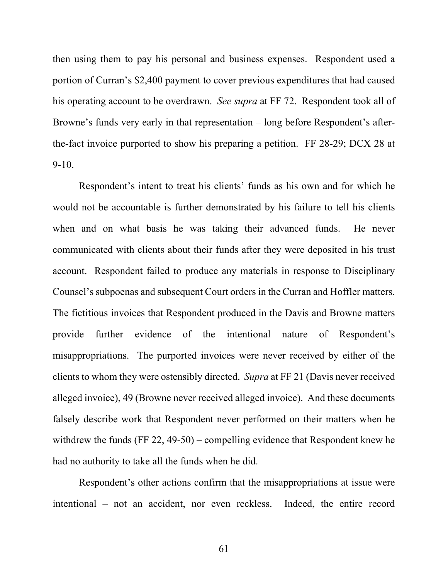then using them to pay his personal and business expenses. Respondent used a portion of Curran's \$2,400 payment to cover previous expenditures that had caused his operating account to be overdrawn. *See supra* at FF 72. Respondent took all of Browne's funds very early in that representation – long before Respondent's afterthe-fact invoice purported to show his preparing a petition. FF 28-29; DCX 28 at 9-10.

Respondent's intent to treat his clients' funds as his own and for which he would not be accountable is further demonstrated by his failure to tell his clients when and on what basis he was taking their advanced funds. He never communicated with clients about their funds after they were deposited in his trust account. Respondent failed to produce any materials in response to Disciplinary Counsel's subpoenas and subsequent Court orders in the Curran and Hoffler matters. The fictitious invoices that Respondent produced in the Davis and Browne matters provide further evidence of the intentional nature of Respondent's misappropriations. The purported invoices were never received by either of the clients to whom they were ostensibly directed. *Supra* at FF 21 (Davis never received alleged invoice), 49 (Browne never received alleged invoice). And these documents falsely describe work that Respondent never performed on their matters when he withdrew the funds (FF 22, 49-50) – compelling evidence that Respondent knew he had no authority to take all the funds when he did.

Respondent's other actions confirm that the misappropriations at issue were intentional – not an accident, nor even reckless. Indeed, the entire record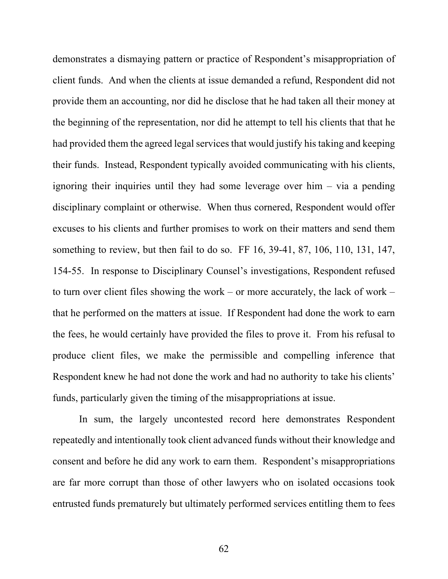demonstrates a dismaying pattern or practice of Respondent's misappropriation of client funds. And when the clients at issue demanded a refund, Respondent did not provide them an accounting, nor did he disclose that he had taken all their money at the beginning of the representation, nor did he attempt to tell his clients that that he had provided them the agreed legal services that would justify his taking and keeping their funds. Instead, Respondent typically avoided communicating with his clients, ignoring their inquiries until they had some leverage over him – via a pending disciplinary complaint or otherwise. When thus cornered, Respondent would offer excuses to his clients and further promises to work on their matters and send them something to review, but then fail to do so. FF 16, 39-41, 87, 106, 110, 131, 147, 154-55. In response to Disciplinary Counsel's investigations, Respondent refused to turn over client files showing the work – or more accurately, the lack of work – that he performed on the matters at issue. If Respondent had done the work to earn the fees, he would certainly have provided the files to prove it. From his refusal to produce client files, we make the permissible and compelling inference that Respondent knew he had not done the work and had no authority to take his clients' funds, particularly given the timing of the misappropriations at issue.

In sum, the largely uncontested record here demonstrates Respondent repeatedly and intentionally took client advanced funds without their knowledge and consent and before he did any work to earn them. Respondent's misappropriations are far more corrupt than those of other lawyers who on isolated occasions took entrusted funds prematurely but ultimately performed services entitling them to fees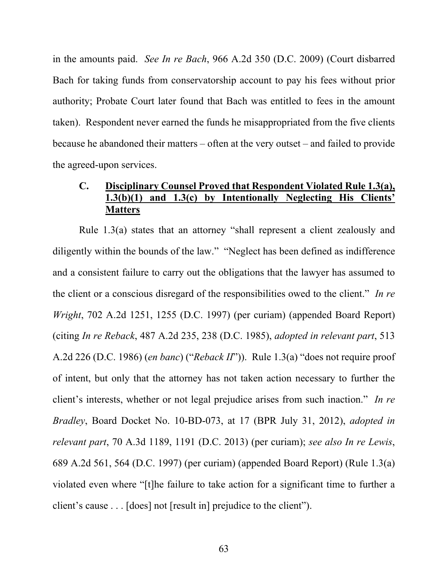in the amounts paid. *See In re Bach*, 966 A.2d 350 (D.C. 2009) (Court disbarred Bach for taking funds from conservatorship account to pay his fees without prior authority; Probate Court later found that Bach was entitled to fees in the amount taken). Respondent never earned the funds he misappropriated from the five clients because he abandoned their matters – often at the very outset – and failed to provide the agreed-upon services.

# **C. Disciplinary Counsel Proved that Respondent Violated Rule 1.3(a), 1.3(b)(1) and 1.3(c) by Intentionally Neglecting His Clients' Matters**

Rule 1.3(a) states that an attorney "shall represent a client zealously and diligently within the bounds of the law." "Neglect has been defined as indifference and a consistent failure to carry out the obligations that the lawyer has assumed to the client or a conscious disregard of the responsibilities owed to the client." *In re Wright*, 702 A.2d 1251, 1255 (D.C. 1997) (per curiam) (appended Board Report) (citing *In re Reback*, 487 A.2d 235, 238 (D.C. 1985), *adopted in relevant part*, 513 A.2d 226 (D.C. 1986) (*en banc*) ("*Reback II*")). Rule 1.3(a) "does not require proof of intent, but only that the attorney has not taken action necessary to further the client's interests, whether or not legal prejudice arises from such inaction." *In re Bradley*, Board Docket No. 10-BD-073, at 17 (BPR July 31, 2012), *adopted in relevant part*, 70 A.3d 1189, 1191 (D.C. 2013) (per curiam); *see also In re Lewis*, 689 A.2d 561, 564 (D.C. 1997) (per curiam) (appended Board Report) (Rule 1.3(a) violated even where "[t]he failure to take action for a significant time to further a client's cause . . . [does] not [result in] prejudice to the client").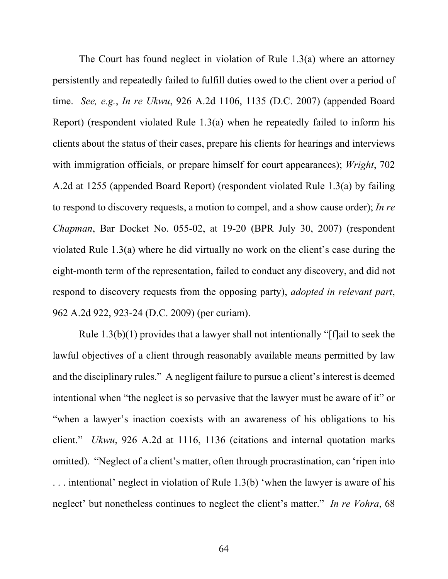The Court has found neglect in violation of Rule 1.3(a) where an attorney persistently and repeatedly failed to fulfill duties owed to the client over a period of time. *See, e.g.*, *In re Ukwu*, 926 A.2d 1106, 1135 (D.C. 2007) (appended Board Report) (respondent violated Rule 1.3(a) when he repeatedly failed to inform his clients about the status of their cases, prepare his clients for hearings and interviews with immigration officials, or prepare himself for court appearances); *Wright*, 702 A.2d at 1255 (appended Board Report) (respondent violated Rule 1.3(a) by failing to respond to discovery requests, a motion to compel, and a show cause order); *In re Chapman*, Bar Docket No. 055-02, at 19-20 (BPR July 30, 2007) (respondent violated Rule 1.3(a) where he did virtually no work on the client's case during the eight-month term of the representation, failed to conduct any discovery, and did not respond to discovery requests from the opposing party), *adopted in relevant part*, 962 A.2d 922, 923-24 (D.C. 2009) (per curiam).

 Rule 1.3(b)(1) provides that a lawyer shall not intentionally "[f]ail to seek the lawful objectives of a client through reasonably available means permitted by law and the disciplinary rules." A negligent failure to pursue a client's interest is deemed intentional when "the neglect is so pervasive that the lawyer must be aware of it" or "when a lawyer's inaction coexists with an awareness of his obligations to his client." *Ukwu*, 926 A.2d at 1116, 1136 (citations and internal quotation marks omitted). "Neglect of a client's matter, often through procrastination, can 'ripen into . . . intentional' neglect in violation of Rule 1.3(b) 'when the lawyer is aware of his neglect' but nonetheless continues to neglect the client's matter." *In re Vohra*, 68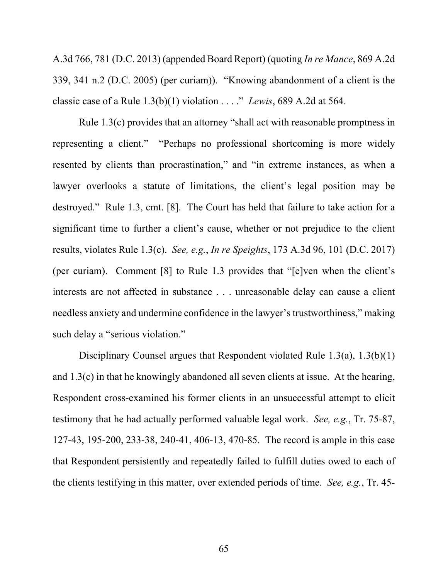A.3d 766, 781 (D.C. 2013) (appended Board Report) (quoting *In re Mance*, 869 A.2d 339, 341 n.2 (D.C. 2005) (per curiam)). "Knowing abandonment of a client is the classic case of a Rule 1.3(b)(1) violation . . . ." *Lewis*, 689 A.2d at 564.

Rule 1.3(c) provides that an attorney "shall act with reasonable promptness in representing a client." "Perhaps no professional shortcoming is more widely resented by clients than procrastination," and "in extreme instances, as when a lawyer overlooks a statute of limitations, the client's legal position may be destroyed." Rule 1.3, cmt. [8]. The Court has held that failure to take action for a significant time to further a client's cause, whether or not prejudice to the client results, violates Rule 1.3(c). *See, e.g.*, *In re Speights*, 173 A.3d 96, 101 (D.C. 2017) (per curiam). Comment [8] to Rule 1.3 provides that "[e]ven when the client's interests are not affected in substance . . . unreasonable delay can cause a client needless anxiety and undermine confidence in the lawyer's trustworthiness," making such delay a "serious violation."

Disciplinary Counsel argues that Respondent violated Rule 1.3(a), 1.3(b)(1) and 1.3(c) in that he knowingly abandoned all seven clients at issue. At the hearing, Respondent cross-examined his former clients in an unsuccessful attempt to elicit testimony that he had actually performed valuable legal work. *See, e.g.*, Tr. 75-87, 127-43, 195-200, 233-38, 240-41, 406-13, 470-85. The record is ample in this case that Respondent persistently and repeatedly failed to fulfill duties owed to each of the clients testifying in this matter, over extended periods of time. *See, e.g.*, Tr. 45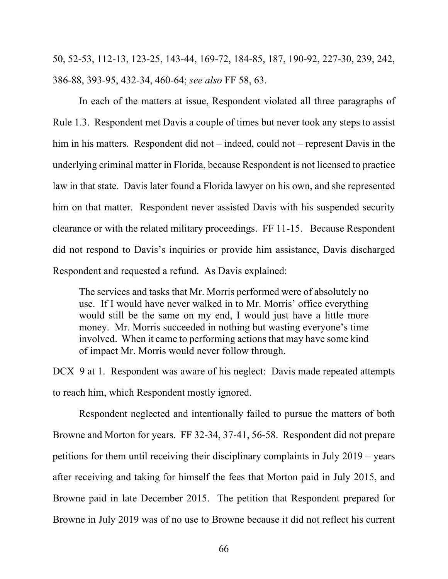50, 52-53, 112-13, 123-25, 143-44, 169-72, 184-85, 187, 190-92, 227-30, 239, 242, 386-88, 393-95, 432-34, 460-64; *see also* FF 58, 63.

In each of the matters at issue, Respondent violated all three paragraphs of Rule 1.3. Respondent met Davis a couple of times but never took any steps to assist him in his matters. Respondent did not – indeed, could not – represent Davis in the underlying criminal matter in Florida, because Respondent is not licensed to practice law in that state. Davis later found a Florida lawyer on his own, and she represented him on that matter. Respondent never assisted Davis with his suspended security clearance or with the related military proceedings. FF 11-15. Because Respondent did not respond to Davis's inquiries or provide him assistance, Davis discharged Respondent and requested a refund. As Davis explained:

The services and tasks that Mr. Morris performed were of absolutely no use. If I would have never walked in to Mr. Morris' office everything would still be the same on my end, I would just have a little more money. Mr. Morris succeeded in nothing but wasting everyone's time involved. When it came to performing actions that may have some kind of impact Mr. Morris would never follow through.

DCX 9 at 1. Respondent was aware of his neglect: Davis made repeated attempts to reach him, which Respondent mostly ignored.

Respondent neglected and intentionally failed to pursue the matters of both Browne and Morton for years. FF 32-34, 37-41, 56-58. Respondent did not prepare petitions for them until receiving their disciplinary complaints in July 2019 – years after receiving and taking for himself the fees that Morton paid in July 2015, and Browne paid in late December 2015. The petition that Respondent prepared for Browne in July 2019 was of no use to Browne because it did not reflect his current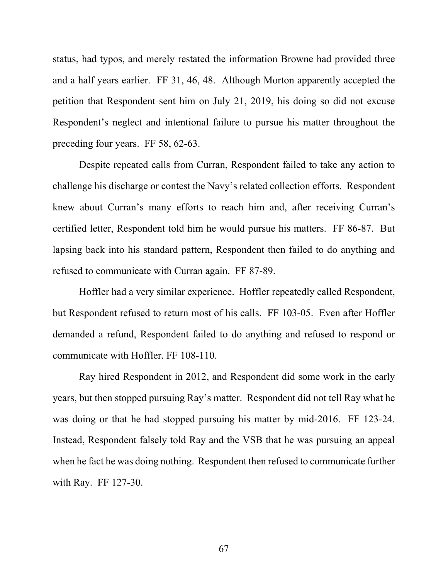status, had typos, and merely restated the information Browne had provided three and a half years earlier. FF 31, 46, 48. Although Morton apparently accepted the petition that Respondent sent him on July 21, 2019, his doing so did not excuse Respondent's neglect and intentional failure to pursue his matter throughout the preceding four years. FF 58, 62-63.

Despite repeated calls from Curran, Respondent failed to take any action to challenge his discharge or contest the Navy's related collection efforts. Respondent knew about Curran's many efforts to reach him and, after receiving Curran's certified letter, Respondent told him he would pursue his matters. FF 86-87. But lapsing back into his standard pattern, Respondent then failed to do anything and refused to communicate with Curran again. FF 87-89.

Hoffler had a very similar experience. Hoffler repeatedly called Respondent, but Respondent refused to return most of his calls. FF 103-05. Even after Hoffler demanded a refund, Respondent failed to do anything and refused to respond or communicate with Hoffler. FF 108-110.

Ray hired Respondent in 2012, and Respondent did some work in the early years, but then stopped pursuing Ray's matter. Respondent did not tell Ray what he was doing or that he had stopped pursuing his matter by mid-2016. FF 123-24. Instead, Respondent falsely told Ray and the VSB that he was pursuing an appeal when he fact he was doing nothing. Respondent then refused to communicate further with Ray. FF 127-30.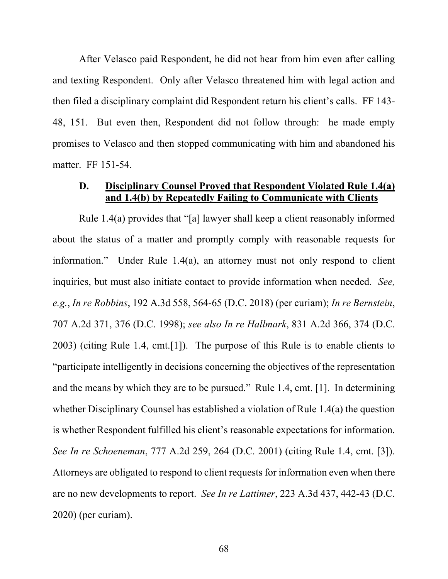After Velasco paid Respondent, he did not hear from him even after calling and texting Respondent. Only after Velasco threatened him with legal action and then filed a disciplinary complaint did Respondent return his client's calls. FF 143- 48, 151. But even then, Respondent did not follow through: he made empty promises to Velasco and then stopped communicating with him and abandoned his matter. FF 151-54.

## **D. Disciplinary Counsel Proved that Respondent Violated Rule 1.4(a) and 1.4(b) by Repeatedly Failing to Communicate with Clients**

Rule 1.4(a) provides that "[a] lawyer shall keep a client reasonably informed about the status of a matter and promptly comply with reasonable requests for information." Under Rule 1.4(a), an attorney must not only respond to client inquiries, but must also initiate contact to provide information when needed. *See, e.g.*, *In re Robbins*, 192 A.3d 558, 564-65 (D.C. 2018) (per curiam); *In re Bernstein*, 707 A.2d 371, 376 (D.C. 1998); *see also In re Hallmark*, 831 A.2d 366, 374 (D.C. 2003) (citing Rule 1.4, cmt.[1]). The purpose of this Rule is to enable clients to "participate intelligently in decisions concerning the objectives of the representation and the means by which they are to be pursued." Rule 1.4, cmt. [1]. In determining whether Disciplinary Counsel has established a violation of Rule 1.4(a) the question is whether Respondent fulfilled his client's reasonable expectations for information. *See In re Schoeneman*, 777 A.2d 259, 264 (D.C. 2001) (citing Rule 1.4, cmt. [3]). Attorneys are obligated to respond to client requests for information even when there are no new developments to report. *See In re Lattimer*, 223 A.3d 437, 442-43 (D.C. 2020) (per curiam).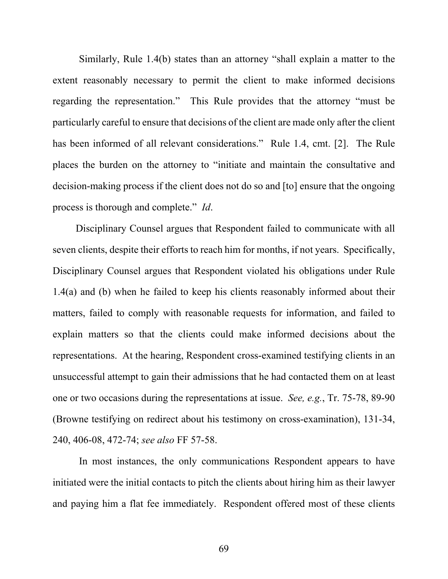Similarly, Rule 1.4(b) states than an attorney "shall explain a matter to the extent reasonably necessary to permit the client to make informed decisions regarding the representation." This Rule provides that the attorney "must be particularly careful to ensure that decisions of the client are made only after the client has been informed of all relevant considerations." Rule 1.4, cmt. [2]. The Rule places the burden on the attorney to "initiate and maintain the consultative and decision-making process if the client does not do so and [to] ensure that the ongoing process is thorough and complete." *Id*.

Disciplinary Counsel argues that Respondent failed to communicate with all seven clients, despite their efforts to reach him for months, if not years. Specifically, Disciplinary Counsel argues that Respondent violated his obligations under Rule 1.4(a) and (b) when he failed to keep his clients reasonably informed about their matters, failed to comply with reasonable requests for information, and failed to explain matters so that the clients could make informed decisions about the representations. At the hearing, Respondent cross-examined testifying clients in an unsuccessful attempt to gain their admissions that he had contacted them on at least one or two occasions during the representations at issue. *See, e.g.*, Tr. 75-78, 89-90 (Browne testifying on redirect about his testimony on cross-examination), 131-34, 240, 406-08, 472-74; *see also* FF 57-58.

In most instances, the only communications Respondent appears to have initiated were the initial contacts to pitch the clients about hiring him as their lawyer and paying him a flat fee immediately. Respondent offered most of these clients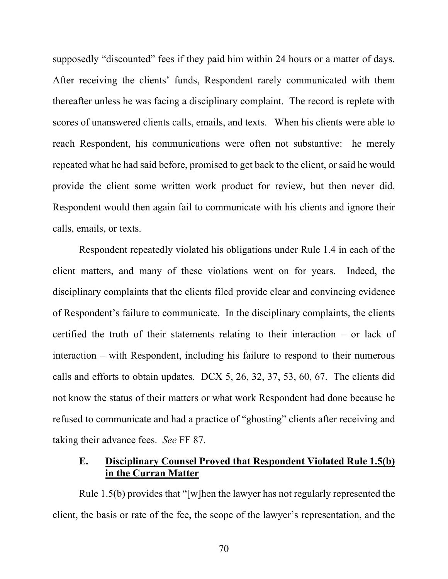supposedly "discounted" fees if they paid him within 24 hours or a matter of days. After receiving the clients' funds, Respondent rarely communicated with them thereafter unless he was facing a disciplinary complaint. The record is replete with scores of unanswered clients calls, emails, and texts. When his clients were able to reach Respondent, his communications were often not substantive: he merely repeated what he had said before, promised to get back to the client, or said he would provide the client some written work product for review, but then never did. Respondent would then again fail to communicate with his clients and ignore their calls, emails, or texts.

Respondent repeatedly violated his obligations under Rule 1.4 in each of the client matters, and many of these violations went on for years. Indeed, the disciplinary complaints that the clients filed provide clear and convincing evidence of Respondent's failure to communicate. In the disciplinary complaints, the clients certified the truth of their statements relating to their interaction – or lack of interaction – with Respondent, including his failure to respond to their numerous calls and efforts to obtain updates. DCX 5, 26, 32, 37, 53, 60, 67. The clients did not know the status of their matters or what work Respondent had done because he refused to communicate and had a practice of "ghosting" clients after receiving and taking their advance fees. *See* FF 87.

### **E. Disciplinary Counsel Proved that Respondent Violated Rule 1.5(b) in the Curran Matter**

Rule 1.5(b) provides that "[w]hen the lawyer has not regularly represented the client, the basis or rate of the fee, the scope of the lawyer's representation, and the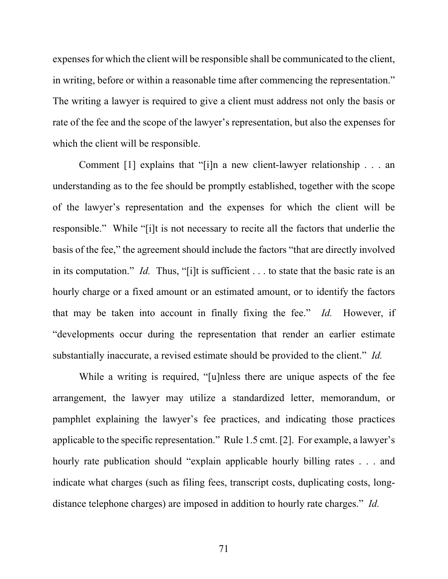expenses for which the client will be responsible shall be communicated to the client, in writing, before or within a reasonable time after commencing the representation." The writing a lawyer is required to give a client must address not only the basis or rate of the fee and the scope of the lawyer's representation, but also the expenses for which the client will be responsible.

Comment [1] explains that "[i]n a new client-lawyer relationship . . . an understanding as to the fee should be promptly established, together with the scope of the lawyer's representation and the expenses for which the client will be responsible." While "[i]t is not necessary to recite all the factors that underlie the basis of the fee," the agreement should include the factors "that are directly involved in its computation." *Id.* Thus, "[i]t is sufficient . . . to state that the basic rate is an hourly charge or a fixed amount or an estimated amount, or to identify the factors that may be taken into account in finally fixing the fee." *Id.* However, if "developments occur during the representation that render an earlier estimate substantially inaccurate, a revised estimate should be provided to the client." *Id.* 

While a writing is required, "[u]nless there are unique aspects of the fee arrangement, the lawyer may utilize a standardized letter, memorandum, or pamphlet explaining the lawyer's fee practices, and indicating those practices applicable to the specific representation." Rule 1.5 cmt. [2]. For example, a lawyer's hourly rate publication should "explain applicable hourly billing rates . . . and indicate what charges (such as filing fees, transcript costs, duplicating costs, longdistance telephone charges) are imposed in addition to hourly rate charges." *Id.*

71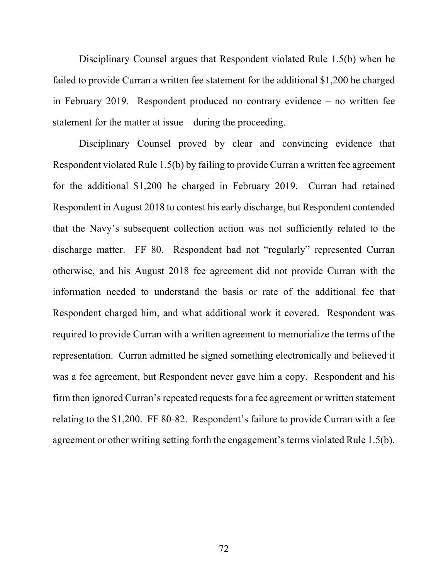Disciplinary Counsel argues that Respondent violated Rule 1.5(b) when he failed to provide Curran a written fee statement for the additional \$1,200 he charged in February 2019. Respondent produced no contrary evidence – no written fee statement for the matter at issue – during the proceeding.

Disciplinary Counsel proved by clear and convincing evidence that Respondent violated Rule 1.5(b) by failing to provide Curran a written fee agreement for the additional \$1,200 he charged in February 2019. Curran had retained Respondent in August 2018 to contest his early discharge, but Respondent contended that the Navy's subsequent collection action was not sufficiently related to the discharge matter. FF 80. Respondent had not "regularly" represented Curran otherwise, and his August 2018 fee agreement did not provide Curran with the information needed to understand the basis or rate of the additional fee that Respondent charged him, and what additional work it covered. Respondent was required to provide Curran with a written agreement to memorialize the terms of the representation. Curran admitted he signed something electronically and believed it was a fee agreement, but Respondent never gave him a copy. Respondent and his firm then ignored Curran's repeated requests for a fee agreement or written statement relating to the \$1,200. FF 80-82. Respondent's failure to provide Curran with a fee agreement or other writing setting forth the engagement's terms violated Rule 1.5(b).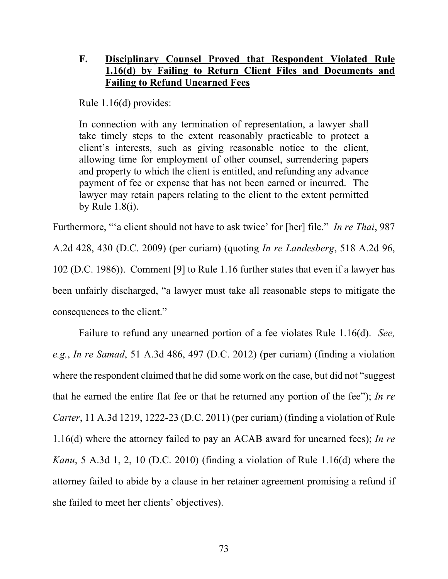# **F. Disciplinary Counsel Proved that Respondent Violated Rule 1.16(d) by Failing to Return Client Files and Documents and Failing to Refund Unearned Fees**

Rule 1.16(d) provides:

In connection with any termination of representation, a lawyer shall take timely steps to the extent reasonably practicable to protect a client's interests, such as giving reasonable notice to the client, allowing time for employment of other counsel, surrendering papers and property to which the client is entitled, and refunding any advance payment of fee or expense that has not been earned or incurred. The lawyer may retain papers relating to the client to the extent permitted by Rule 1.8(i).

Furthermore, "'a client should not have to ask twice' for [her] file." *In re Thai*, 987 A.2d 428, 430 (D.C. 2009) (per curiam) (quoting *In re Landesberg*, 518 A.2d 96, 102 (D.C. 1986)). Comment [9] to Rule 1.16 further states that even if a lawyer has been unfairly discharged, "a lawyer must take all reasonable steps to mitigate the consequences to the client."

Failure to refund any unearned portion of a fee violates Rule 1.16(d). *See, e.g.*, *In re Samad*, 51 A.3d 486, 497 (D.C. 2012) (per curiam) (finding a violation where the respondent claimed that he did some work on the case, but did not "suggest that he earned the entire flat fee or that he returned any portion of the fee"); *In re Carter*, 11 A.3d 1219, 1222-23 (D.C. 2011) (per curiam) (finding a violation of Rule 1.16(d) where the attorney failed to pay an ACAB award for unearned fees); *In re Kanu*, 5 A.3d 1, 2, 10 (D.C. 2010) (finding a violation of Rule 1.16(d) where the attorney failed to abide by a clause in her retainer agreement promising a refund if she failed to meet her clients' objectives).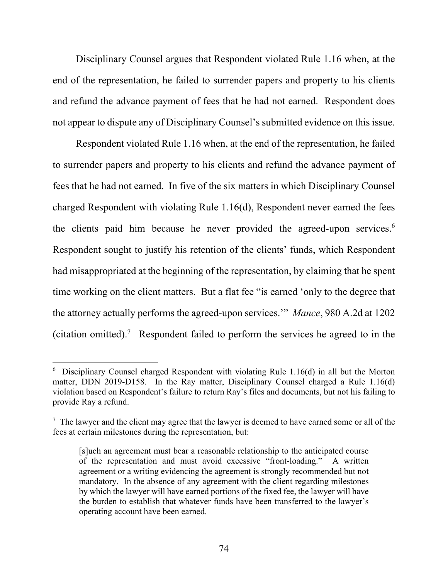Disciplinary Counsel argues that Respondent violated Rule 1.16 when, at the end of the representation, he failed to surrender papers and property to his clients and refund the advance payment of fees that he had not earned. Respondent does not appear to dispute any of Disciplinary Counsel's submitted evidence on this issue.

Respondent violated Rule 1.16 when, at the end of the representation, he failed to surrender papers and property to his clients and refund the advance payment of fees that he had not earned. In five of the six matters in which Disciplinary Counsel charged Respondent with violating Rule 1.16(d), Respondent never earned the fees the clients paid him because he never provided the agreed-upon services.<sup>6</sup> Respondent sought to justify his retention of the clients' funds, which Respondent had misappropriated at the beginning of the representation, by claiming that he spent time working on the client matters. But a flat fee "is earned 'only to the degree that the attorney actually performs the agreed-upon services.'" *Mance*, 980 A.2d at 1202 (citation omitted).<sup>7</sup> Respondent failed to perform the services he agreed to in the

 $6$  Disciplinary Counsel charged Respondent with violating Rule 1.16(d) in all but the Morton matter, DDN 2019-D158. In the Ray matter, Disciplinary Counsel charged a Rule 1.16(d) violation based on Respondent's failure to return Ray's files and documents, but not his failing to provide Ray a refund.

 $7$  The lawyer and the client may agree that the lawyer is deemed to have earned some or all of the fees at certain milestones during the representation, but:

<sup>[</sup>s]uch an agreement must bear a reasonable relationship to the anticipated course of the representation and must avoid excessive "front-loading." A written agreement or a writing evidencing the agreement is strongly recommended but not mandatory. In the absence of any agreement with the client regarding milestones by which the lawyer will have earned portions of the fixed fee, the lawyer will have the burden to establish that whatever funds have been transferred to the lawyer's operating account have been earned.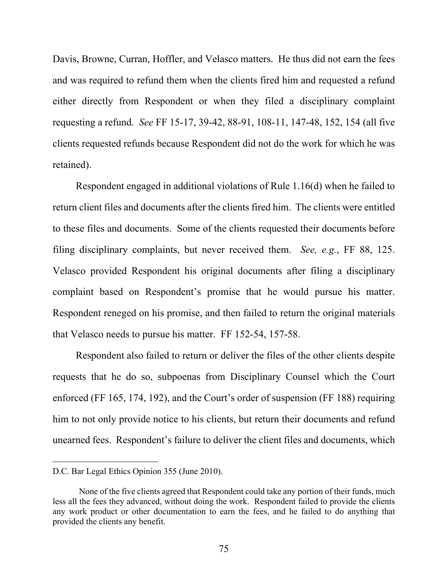Davis, Browne, Curran, Hoffler, and Velasco matters. He thus did not earn the fees and was required to refund them when the clients fired him and requested a refund either directly from Respondent or when they filed a disciplinary complaint requesting a refund. *See* FF 15-17, 39-42, 88-91, 108-11, 147-48, 152, 154 (all five clients requested refunds because Respondent did not do the work for which he was retained).

Respondent engaged in additional violations of Rule 1.16(d) when he failed to return client files and documents after the clients fired him. The clients were entitled to these files and documents. Some of the clients requested their documents before filing disciplinary complaints, but never received them. *See, e.g.*, FF 88, 125. Velasco provided Respondent his original documents after filing a disciplinary complaint based on Respondent's promise that he would pursue his matter. Respondent reneged on his promise, and then failed to return the original materials that Velasco needs to pursue his matter. FF 152-54, 157-58.

Respondent also failed to return or deliver the files of the other clients despite requests that he do so, subpoenas from Disciplinary Counsel which the Court enforced (FF 165, 174, 192), and the Court's order of suspension (FF 188) requiring him to not only provide notice to his clients, but return their documents and refund unearned fees. Respondent's failure to deliver the client files and documents, which

D.C. Bar Legal Ethics Opinion 355 (June 2010).

None of the five clients agreed that Respondent could take any portion of their funds, much less all the fees they advanced, without doing the work. Respondent failed to provide the clients any work product or other documentation to earn the fees, and he failed to do anything that provided the clients any benefit.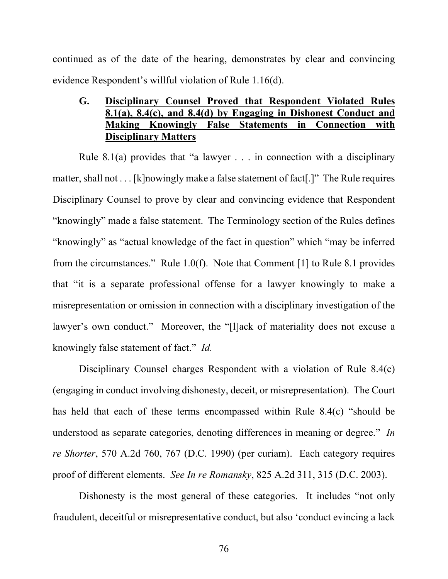continued as of the date of the hearing, demonstrates by clear and convincing evidence Respondent's willful violation of Rule 1.16(d).

## **G. Disciplinary Counsel Proved that Respondent Violated Rules 8.1(a), 8.4(c), and 8.4(d) by Engaging in Dishonest Conduct and Making Knowingly False Statements in Connection with Disciplinary Matters**

Rule 8.1(a) provides that "a lawyer  $\ldots$  in connection with a disciplinary matter, shall not . . . [k]nowingly make a false statement of fact[.]" The Rule requires Disciplinary Counsel to prove by clear and convincing evidence that Respondent "knowingly" made a false statement. The Terminology section of the Rules defines "knowingly" as "actual knowledge of the fact in question" which "may be inferred from the circumstances." Rule 1.0(f). Note that Comment [1] to Rule 8.1 provides that "it is a separate professional offense for a lawyer knowingly to make a misrepresentation or omission in connection with a disciplinary investigation of the lawyer's own conduct." Moreover, the "[l]ack of materiality does not excuse a knowingly false statement of fact." *Id.*

Disciplinary Counsel charges Respondent with a violation of Rule 8.4(c) (engaging in conduct involving dishonesty, deceit, or misrepresentation). The Court has held that each of these terms encompassed within Rule 8.4(c) "should be understood as separate categories, denoting differences in meaning or degree." *In re Shorter*, 570 A.2d 760, 767 (D.C. 1990) (per curiam). Each category requires proof of different elements. *See In re Romansky*, 825 A.2d 311, 315 (D.C. 2003).

Dishonesty is the most general of these categories. It includes "not only fraudulent, deceitful or misrepresentative conduct, but also 'conduct evincing a lack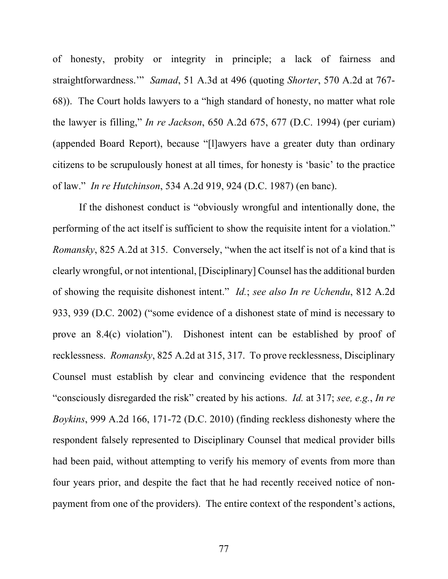of honesty, probity or integrity in principle; a lack of fairness and straightforwardness.'" *Samad*, 51 A.3d at 496 (quoting *Shorter*, 570 A.2d at 767- 68)). The Court holds lawyers to a "high standard of honesty, no matter what role the lawyer is filling," *In re Jackson*, 650 A.2d 675, 677 (D.C. 1994) (per curiam) (appended Board Report), because "[l]awyers have a greater duty than ordinary citizens to be scrupulously honest at all times, for honesty is 'basic' to the practice of law." *In re Hutchinson*, 534 A.2d 919, 924 (D.C. 1987) (en banc).

If the dishonest conduct is "obviously wrongful and intentionally done, the performing of the act itself is sufficient to show the requisite intent for a violation." *Romansky*, 825 A.2d at 315. Conversely, "when the act itself is not of a kind that is clearly wrongful, or not intentional, [Disciplinary] Counsel has the additional burden of showing the requisite dishonest intent." *Id.*; *see also In re Uchendu*, 812 A.2d 933, 939 (D.C. 2002) ("some evidence of a dishonest state of mind is necessary to prove an 8.4(c) violation"). Dishonest intent can be established by proof of recklessness. *Romansky*, 825 A.2d at 315, 317. To prove recklessness, Disciplinary Counsel must establish by clear and convincing evidence that the respondent "consciously disregarded the risk" created by his actions. *Id.* at 317; *see, e.g.*, *In re Boykins*, 999 A.2d 166, 171-72 (D.C. 2010) (finding reckless dishonesty where the respondent falsely represented to Disciplinary Counsel that medical provider bills had been paid, without attempting to verify his memory of events from more than four years prior, and despite the fact that he had recently received notice of nonpayment from one of the providers). The entire context of the respondent's actions,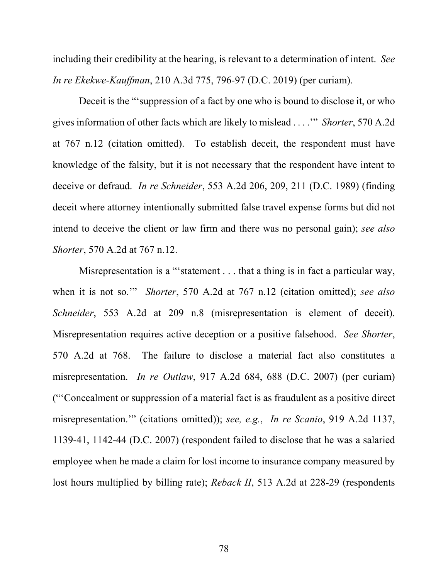including their credibility at the hearing, is relevant to a determination of intent. *See In re Ekekwe-Kauffman*, 210 A.3d 775, 796-97 (D.C. 2019) (per curiam).

Deceit is the "'suppression of a fact by one who is bound to disclose it, or who gives information of other facts which are likely to mislead . . . .'" *Shorter*, 570 A.2d at 767 n.12 (citation omitted). To establish deceit, the respondent must have knowledge of the falsity, but it is not necessary that the respondent have intent to deceive or defraud. *In re Schneider*, 553 A.2d 206, 209, 211 (D.C. 1989) (finding deceit where attorney intentionally submitted false travel expense forms but did not intend to deceive the client or law firm and there was no personal gain); *see also Shorter*, 570 A.2d at 767 n.12.

Misrepresentation is a "'statement . . . that a thing is in fact a particular way, when it is not so.'" *Shorter*, 570 A.2d at 767 n.12 (citation omitted); *see also Schneider*, 553 A.2d at 209 n.8 (misrepresentation is element of deceit). Misrepresentation requires active deception or a positive falsehood. *See Shorter*, 570 A.2d at 768. The failure to disclose a material fact also constitutes a misrepresentation. *In re Outlaw*, 917 A.2d 684, 688 (D.C. 2007) (per curiam) ("'Concealment or suppression of a material fact is as fraudulent as a positive direct misrepresentation.'" (citations omitted)); *see, e.g.*, *In re Scanio*, 919 A.2d 1137, 1139-41, 1142-44 (D.C. 2007) (respondent failed to disclose that he was a salaried employee when he made a claim for lost income to insurance company measured by lost hours multiplied by billing rate); *Reback II*, 513 A.2d at 228-29 (respondents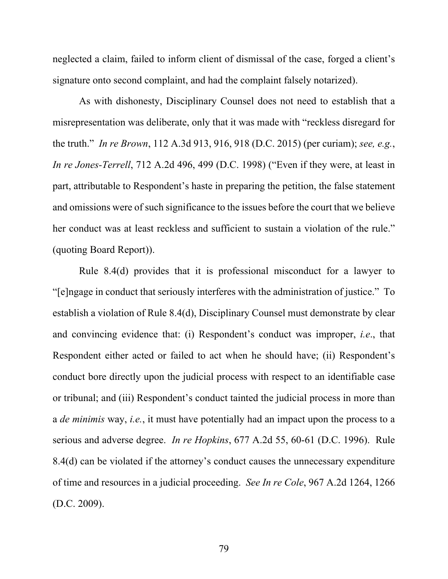neglected a claim, failed to inform client of dismissal of the case, forged a client's signature onto second complaint, and had the complaint falsely notarized).

As with dishonesty, Disciplinary Counsel does not need to establish that a misrepresentation was deliberate, only that it was made with "reckless disregard for the truth." *In re Brown*, 112 A.3d 913, 916, 918 (D.C. 2015) (per curiam); *see, e.g.*, *In re Jones-Terrell*, 712 A.2d 496, 499 (D.C. 1998) ("Even if they were, at least in part, attributable to Respondent's haste in preparing the petition, the false statement and omissions were of such significance to the issues before the court that we believe her conduct was at least reckless and sufficient to sustain a violation of the rule." (quoting Board Report)).

Rule 8.4(d) provides that it is professional misconduct for a lawyer to "[e]ngage in conduct that seriously interferes with the administration of justice." To establish a violation of Rule 8.4(d), Disciplinary Counsel must demonstrate by clear and convincing evidence that: (i) Respondent's conduct was improper, *i.e*., that Respondent either acted or failed to act when he should have; (ii) Respondent's conduct bore directly upon the judicial process with respect to an identifiable case or tribunal; and (iii) Respondent's conduct tainted the judicial process in more than a *de minimis* way, *i.e.*, it must have potentially had an impact upon the process to a serious and adverse degree. *In re Hopkins*, 677 A.2d 55, 60-61 (D.C. 1996). Rule 8.4(d) can be violated if the attorney's conduct causes the unnecessary expenditure of time and resources in a judicial proceeding. *See In re Cole*, 967 A.2d 1264, 1266 (D.C. 2009).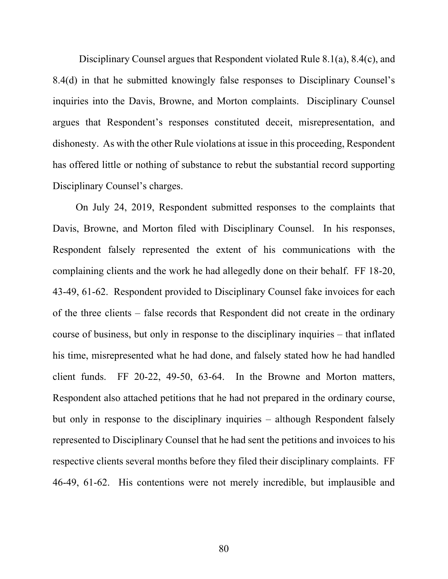Disciplinary Counsel argues that Respondent violated Rule 8.1(a), 8.4(c), and 8.4(d) in that he submitted knowingly false responses to Disciplinary Counsel's inquiries into the Davis, Browne, and Morton complaints. Disciplinary Counsel argues that Respondent's responses constituted deceit, misrepresentation, and dishonesty. As with the other Rule violations at issue in this proceeding, Respondent has offered little or nothing of substance to rebut the substantial record supporting Disciplinary Counsel's charges.

On July 24, 2019, Respondent submitted responses to the complaints that Davis, Browne, and Morton filed with Disciplinary Counsel. In his responses, Respondent falsely represented the extent of his communications with the complaining clients and the work he had allegedly done on their behalf. FF 18-20, 43-49, 61-62. Respondent provided to Disciplinary Counsel fake invoices for each of the three clients – false records that Respondent did not create in the ordinary course of business, but only in response to the disciplinary inquiries – that inflated his time, misrepresented what he had done, and falsely stated how he had handled client funds. FF 20-22, 49-50, 63-64. In the Browne and Morton matters, Respondent also attached petitions that he had not prepared in the ordinary course, but only in response to the disciplinary inquiries – although Respondent falsely represented to Disciplinary Counsel that he had sent the petitions and invoices to his respective clients several months before they filed their disciplinary complaints. FF 46-49, 61-62. His contentions were not merely incredible, but implausible and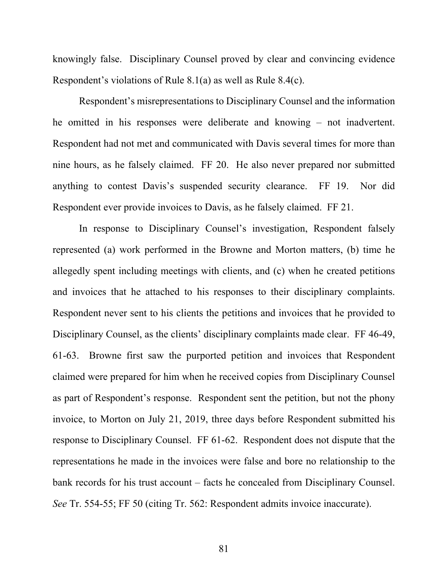knowingly false. Disciplinary Counsel proved by clear and convincing evidence Respondent's violations of Rule 8.1(a) as well as Rule 8.4(c).

Respondent's misrepresentations to Disciplinary Counsel and the information he omitted in his responses were deliberate and knowing – not inadvertent. Respondent had not met and communicated with Davis several times for more than nine hours, as he falsely claimed. FF 20. He also never prepared nor submitted anything to contest Davis's suspended security clearance. FF 19. Nor did Respondent ever provide invoices to Davis, as he falsely claimed. FF 21.

In response to Disciplinary Counsel's investigation, Respondent falsely represented (a) work performed in the Browne and Morton matters, (b) time he allegedly spent including meetings with clients, and (c) when he created petitions and invoices that he attached to his responses to their disciplinary complaints. Respondent never sent to his clients the petitions and invoices that he provided to Disciplinary Counsel, as the clients' disciplinary complaints made clear. FF 46-49, 61-63. Browne first saw the purported petition and invoices that Respondent claimed were prepared for him when he received copies from Disciplinary Counsel as part of Respondent's response. Respondent sent the petition, but not the phony invoice, to Morton on July 21, 2019, three days before Respondent submitted his response to Disciplinary Counsel. FF 61-62. Respondent does not dispute that the representations he made in the invoices were false and bore no relationship to the bank records for his trust account – facts he concealed from Disciplinary Counsel. *See* Tr. 554-55; FF 50 (citing Tr. 562: Respondent admits invoice inaccurate).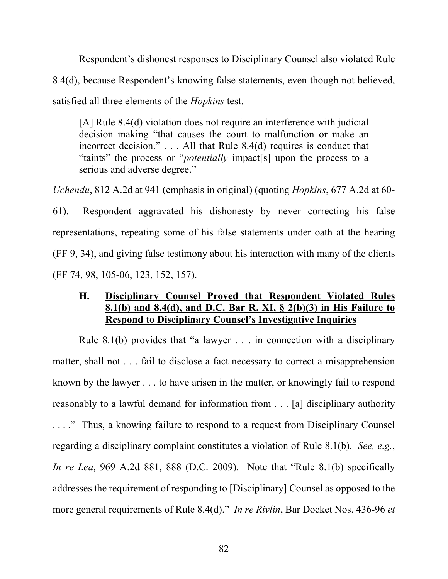Respondent's dishonest responses to Disciplinary Counsel also violated Rule 8.4(d), because Respondent's knowing false statements, even though not believed, satisfied all three elements of the *Hopkins* test.

[A] Rule 8.4(d) violation does not require an interference with judicial decision making "that causes the court to malfunction or make an incorrect decision." . . . All that Rule 8.4(d) requires is conduct that "taints" the process or "*potentially* impact[s] upon the process to a serious and adverse degree."

*Uchendu*, 812 A.2d at 941 (emphasis in original) (quoting *Hopkins*, 677 A.2d at 60- 61). Respondent aggravated his dishonesty by never correcting his false representations, repeating some of his false statements under oath at the hearing (FF 9, 34), and giving false testimony about his interaction with many of the clients (FF 74, 98, 105-06, 123, 152, 157).

## **H. Disciplinary Counsel Proved that Respondent Violated Rules 8.1(b) and 8.4(d), and D.C. Bar R. XI, § 2(b)(3) in His Failure to Respond to Disciplinary Counsel's Investigative Inquiries**

Rule 8.1(b) provides that "a lawyer . . . in connection with a disciplinary matter, shall not . . . fail to disclose a fact necessary to correct a misapprehension known by the lawyer . . . to have arisen in the matter, or knowingly fail to respond reasonably to a lawful demand for information from . . . [a] disciplinary authority . . . ." Thus, a knowing failure to respond to a request from Disciplinary Counsel regarding a disciplinary complaint constitutes a violation of Rule 8.1(b). *See, e.g.*, *In re Lea*, 969 A.2d 881, 888 (D.C. 2009). Note that "Rule 8.1(b) specifically addresses the requirement of responding to [Disciplinary] Counsel as opposed to the more general requirements of Rule 8.4(d)." *In re Rivlin*, Bar Docket Nos. 436-96 *et*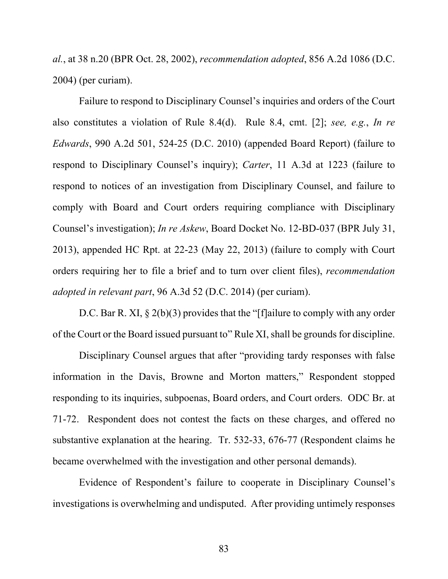*al.*, at 38 n.20 (BPR Oct. 28, 2002), *recommendation adopted*, 856 A.2d 1086 (D.C. 2004) (per curiam).

Failure to respond to Disciplinary Counsel's inquiries and orders of the Court also constitutes a violation of Rule 8.4(d). Rule 8.4, cmt. [2]; *see, e.g.*, *In re Edwards*, 990 A.2d 501, 524-25 (D.C. 2010) (appended Board Report) (failure to respond to Disciplinary Counsel's inquiry); *Carter*, 11 A.3d at 1223 (failure to respond to notices of an investigation from Disciplinary Counsel, and failure to comply with Board and Court orders requiring compliance with Disciplinary Counsel's investigation); *In re Askew*, Board Docket No. 12-BD-037 (BPR July 31, 2013), appended HC Rpt. at 22-23 (May 22, 2013) (failure to comply with Court orders requiring her to file a brief and to turn over client files), *recommendation adopted in relevant part*, 96 A.3d 52 (D.C. 2014) (per curiam).

D.C. Bar R. XI,  $\S 2(b)(3)$  provides that the "[f]ailure to comply with any order of the Court or the Board issued pursuant to" Rule XI, shall be grounds for discipline.

Disciplinary Counsel argues that after "providing tardy responses with false information in the Davis, Browne and Morton matters," Respondent stopped responding to its inquiries, subpoenas, Board orders, and Court orders. ODC Br. at 71-72. Respondent does not contest the facts on these charges, and offered no substantive explanation at the hearing. Tr. 532-33, 676-77 (Respondent claims he became overwhelmed with the investigation and other personal demands).

Evidence of Respondent's failure to cooperate in Disciplinary Counsel's investigations is overwhelming and undisputed. After providing untimely responses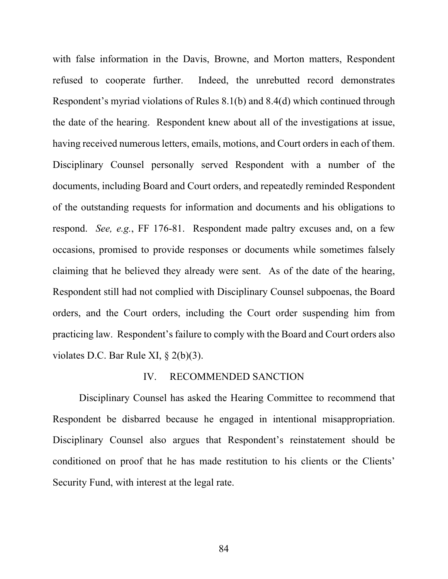with false information in the Davis, Browne, and Morton matters, Respondent refused to cooperate further. Indeed, the unrebutted record demonstrates Respondent's myriad violations of Rules 8.1(b) and 8.4(d) which continued through the date of the hearing. Respondent knew about all of the investigations at issue, having received numerous letters, emails, motions, and Court orders in each of them. Disciplinary Counsel personally served Respondent with a number of the documents, including Board and Court orders, and repeatedly reminded Respondent of the outstanding requests for information and documents and his obligations to respond. *See, e.g.*, FF 176-81. Respondent made paltry excuses and, on a few occasions, promised to provide responses or documents while sometimes falsely claiming that he believed they already were sent. As of the date of the hearing, Respondent still had not complied with Disciplinary Counsel subpoenas, the Board orders, and the Court orders, including the Court order suspending him from practicing law. Respondent's failure to comply with the Board and Court orders also violates D.C. Bar Rule XI, § 2(b)(3).

#### IV. RECOMMENDED SANCTION

Disciplinary Counsel has asked the Hearing Committee to recommend that Respondent be disbarred because he engaged in intentional misappropriation. Disciplinary Counsel also argues that Respondent's reinstatement should be conditioned on proof that he has made restitution to his clients or the Clients' Security Fund, with interest at the legal rate.

84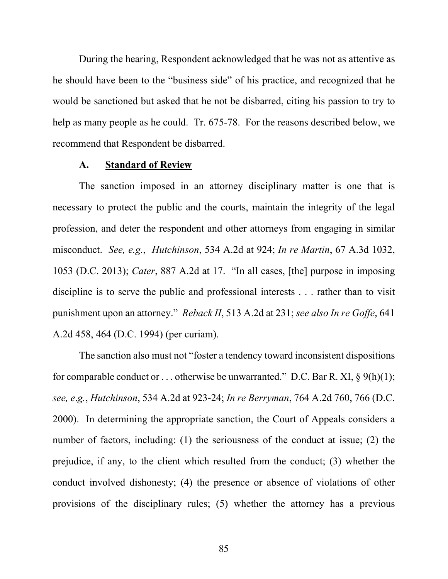During the hearing, Respondent acknowledged that he was not as attentive as he should have been to the "business side" of his practice, and recognized that he would be sanctioned but asked that he not be disbarred, citing his passion to try to help as many people as he could. Tr. 675-78. For the reasons described below, we recommend that Respondent be disbarred.

#### **A. Standard of Review**

 The sanction imposed in an attorney disciplinary matter is one that is necessary to protect the public and the courts, maintain the integrity of the legal profession, and deter the respondent and other attorneys from engaging in similar misconduct. *See, e.g.*, *Hutchinson*, 534 A.2d at 924; *In re Martin*, 67 A.3d 1032, 1053 (D.C. 2013); *Cater*, 887 A.2d at 17. "In all cases, [the] purpose in imposing discipline is to serve the public and professional interests . . . rather than to visit punishment upon an attorney." *Reback II*, 513 A.2d at 231; *see also In re Goffe*, 641 A.2d 458, 464 (D.C. 1994) (per curiam).

 The sanction also must not "foster a tendency toward inconsistent dispositions for comparable conduct or ... otherwise be unwarranted." D.C. Bar R. XI,  $\S$  9(h)(1); *see, e*.*g.*, *Hutchinson*, 534 A.2d at 923-24; *In re Berryman*, 764 A.2d 760, 766 (D.C. 2000). In determining the appropriate sanction, the Court of Appeals considers a number of factors, including: (1) the seriousness of the conduct at issue; (2) the prejudice, if any, to the client which resulted from the conduct; (3) whether the conduct involved dishonesty; (4) the presence or absence of violations of other provisions of the disciplinary rules; (5) whether the attorney has a previous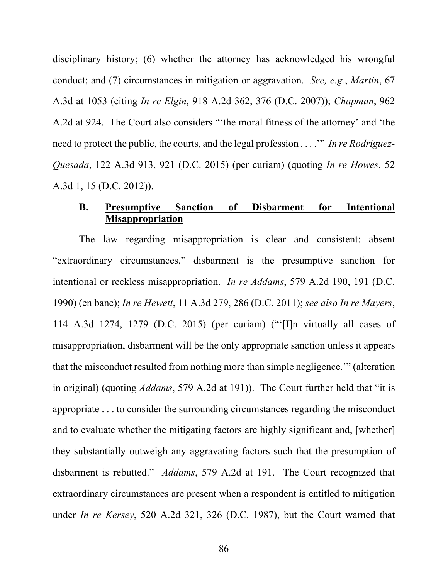disciplinary history; (6) whether the attorney has acknowledged his wrongful conduct; and (7) circumstances in mitigation or aggravation. *See, e.g.*, *Martin*, 67 A.3d at 1053 (citing *In re Elgin*, 918 A.2d 362, 376 (D.C. 2007)); *Chapman*, 962 A.2d at 924. The Court also considers "'the moral fitness of the attorney' and 'the need to protect the public, the courts, and the legal profession . . . .'" *In re Rodriguez-Quesada*, 122 A.3d 913, 921 (D.C. 2015) (per curiam) (quoting *In re Howes*, 52 A.3d 1, 15 (D.C. 2012)).

### **B. Presumptive Sanction of Disbarment for Intentional Misappropriation**

 The law regarding misappropriation is clear and consistent: absent "extraordinary circumstances," disbarment is the presumptive sanction for intentional or reckless misappropriation. *In re Addams*, 579 A.2d 190, 191 (D.C. 1990) (en banc); *In re Hewett*, 11 A.3d 279, 286 (D.C. 2011); *see also In re Mayers*, 114 A.3d 1274, 1279 (D.C. 2015) (per curiam) ("'[I]n virtually all cases of misappropriation, disbarment will be the only appropriate sanction unless it appears that the misconduct resulted from nothing more than simple negligence.'" (alteration in original) (quoting *Addams*, 579 A.2d at 191)). The Court further held that "it is appropriate . . . to consider the surrounding circumstances regarding the misconduct and to evaluate whether the mitigating factors are highly significant and, [whether] they substantially outweigh any aggravating factors such that the presumption of disbarment is rebutted." *Addams*, 579 A.2d at 191. The Court recognized that extraordinary circumstances are present when a respondent is entitled to mitigation under *In re Kersey*, 520 A.2d 321, 326 (D.C. 1987), but the Court warned that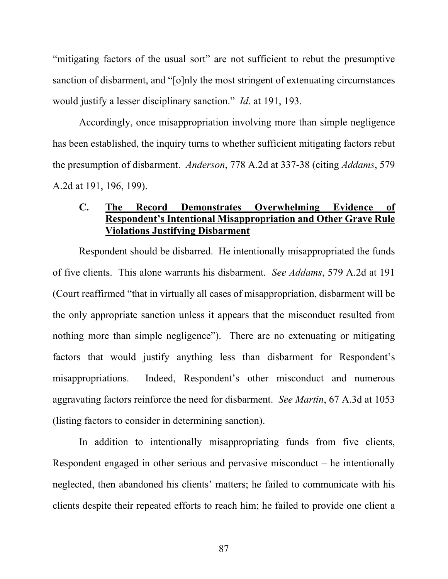"mitigating factors of the usual sort" are not sufficient to rebut the presumptive sanction of disbarment, and "[o]nly the most stringent of extenuating circumstances would justify a lesser disciplinary sanction." *Id*. at 191, 193.

 Accordingly, once misappropriation involving more than simple negligence has been established, the inquiry turns to whether sufficient mitigating factors rebut the presumption of disbarment. *Anderson*, 778 A.2d at 337-38 (citing *Addams*, 579 A.2d at 191, 196, 199).

### **C. The Record Demonstrates Overwhelming Evidence of Respondent's Intentional Misappropriation and Other Grave Rule Violations Justifying Disbarment**

Respondent should be disbarred. He intentionally misappropriated the funds of five clients. This alone warrants his disbarment. *See Addams*, 579 A.2d at 191 (Court reaffirmed "that in virtually all cases of misappropriation, disbarment will be the only appropriate sanction unless it appears that the misconduct resulted from nothing more than simple negligence"). There are no extenuating or mitigating factors that would justify anything less than disbarment for Respondent's misappropriations. Indeed, Respondent's other misconduct and numerous aggravating factors reinforce the need for disbarment. *See Martin*, 67 A.3d at 1053 (listing factors to consider in determining sanction).

In addition to intentionally misappropriating funds from five clients, Respondent engaged in other serious and pervasive misconduct – he intentionally neglected, then abandoned his clients' matters; he failed to communicate with his clients despite their repeated efforts to reach him; he failed to provide one client a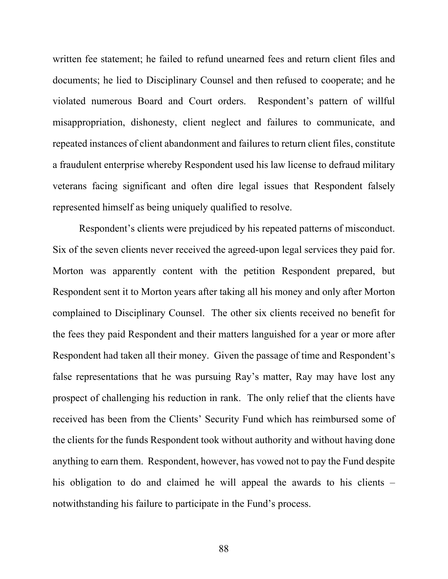written fee statement; he failed to refund unearned fees and return client files and documents; he lied to Disciplinary Counsel and then refused to cooperate; and he violated numerous Board and Court orders. Respondent's pattern of willful misappropriation, dishonesty, client neglect and failures to communicate, and repeated instances of client abandonment and failures to return client files, constitute a fraudulent enterprise whereby Respondent used his law license to defraud military veterans facing significant and often dire legal issues that Respondent falsely represented himself as being uniquely qualified to resolve.

Respondent's clients were prejudiced by his repeated patterns of misconduct. Six of the seven clients never received the agreed-upon legal services they paid for. Morton was apparently content with the petition Respondent prepared, but Respondent sent it to Morton years after taking all his money and only after Morton complained to Disciplinary Counsel. The other six clients received no benefit for the fees they paid Respondent and their matters languished for a year or more after Respondent had taken all their money. Given the passage of time and Respondent's false representations that he was pursuing Ray's matter, Ray may have lost any prospect of challenging his reduction in rank. The only relief that the clients have received has been from the Clients' Security Fund which has reimbursed some of the clients for the funds Respondent took without authority and without having done anything to earn them. Respondent, however, has vowed not to pay the Fund despite his obligation to do and claimed he will appeal the awards to his clients – notwithstanding his failure to participate in the Fund's process.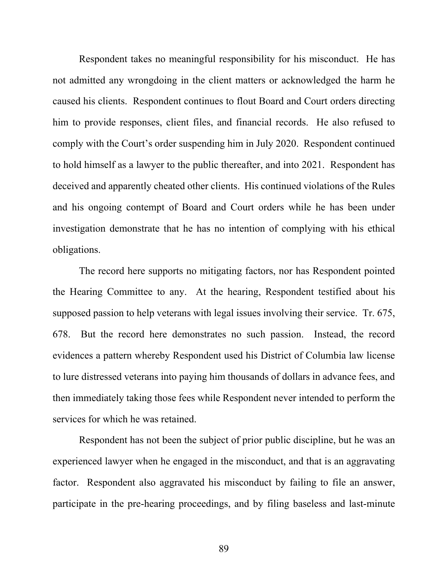Respondent takes no meaningful responsibility for his misconduct. He has not admitted any wrongdoing in the client matters or acknowledged the harm he caused his clients. Respondent continues to flout Board and Court orders directing him to provide responses, client files, and financial records. He also refused to comply with the Court's order suspending him in July 2020. Respondent continued to hold himself as a lawyer to the public thereafter, and into 2021. Respondent has deceived and apparently cheated other clients. His continued violations of the Rules and his ongoing contempt of Board and Court orders while he has been under investigation demonstrate that he has no intention of complying with his ethical obligations.

The record here supports no mitigating factors, nor has Respondent pointed the Hearing Committee to any. At the hearing, Respondent testified about his supposed passion to help veterans with legal issues involving their service. Tr. 675, 678. But the record here demonstrates no such passion. Instead, the record evidences a pattern whereby Respondent used his District of Columbia law license to lure distressed veterans into paying him thousands of dollars in advance fees, and then immediately taking those fees while Respondent never intended to perform the services for which he was retained.

Respondent has not been the subject of prior public discipline, but he was an experienced lawyer when he engaged in the misconduct, and that is an aggravating factor. Respondent also aggravated his misconduct by failing to file an answer, participate in the pre-hearing proceedings, and by filing baseless and last-minute

89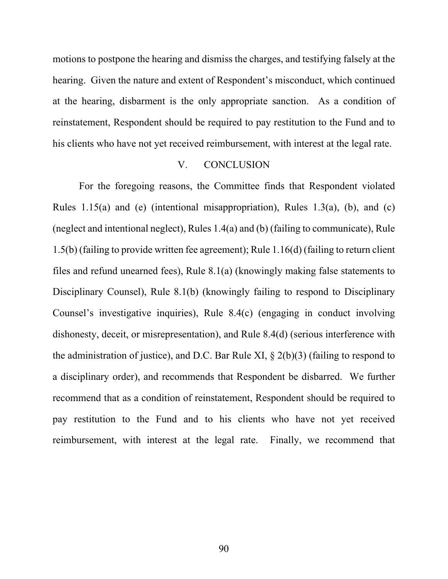motions to postpone the hearing and dismiss the charges, and testifying falsely at the hearing. Given the nature and extent of Respondent's misconduct, which continued at the hearing, disbarment is the only appropriate sanction. As a condition of reinstatement, Respondent should be required to pay restitution to the Fund and to his clients who have not yet received reimbursement, with interest at the legal rate.

#### V. CONCLUSION

 For the foregoing reasons, the Committee finds that Respondent violated Rules 1.15(a) and (e) (intentional misappropriation), Rules 1.3(a), (b), and (c) (neglect and intentional neglect), Rules 1.4(a) and (b) (failing to communicate), Rule 1.5(b) (failing to provide written fee agreement); Rule 1.16(d) (failing to return client files and refund unearned fees), Rule 8.1(a) (knowingly making false statements to Disciplinary Counsel), Rule 8.1(b) (knowingly failing to respond to Disciplinary Counsel's investigative inquiries), Rule 8.4(c) (engaging in conduct involving dishonesty, deceit, or misrepresentation), and Rule 8.4(d) (serious interference with the administration of justice), and D.C. Bar Rule XI,  $\S$  2(b)(3) (failing to respond to a disciplinary order), and recommends that Respondent be disbarred. We further recommend that as a condition of reinstatement, Respondent should be required to pay restitution to the Fund and to his clients who have not yet received reimbursement, with interest at the legal rate. Finally, we recommend that